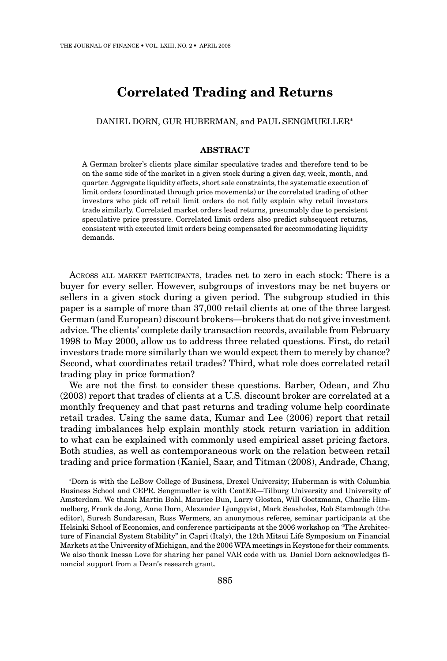# **Correlated Trading and Returns**

DANIEL DORN, GUR HUBERMAN, and PAUL SENGMUELLER∗

### **ABSTRACT**

A German broker's clients place similar speculative trades and therefore tend to be on the same side of the market in a given stock during a given day, week, month, and quarter. Aggregate liquidity effects, short sale constraints, the systematic execution of limit orders (coordinated through price movements) or the correlated trading of other investors who pick off retail limit orders do not fully explain why retail investors trade similarly. Correlated market orders lead returns, presumably due to persistent speculative price pressure. Correlated limit orders also predict subsequent returns, consistent with executed limit orders being compensated for accommodating liquidity demands.

ACROSS ALL MARKET PARTICIPANTS, trades net to zero in each stock: There is a buyer for every seller. However, subgroups of investors may be net buyers or sellers in a given stock during a given period. The subgroup studied in this paper is a sample of more than 37,000 retail clients at one of the three largest German (and European) discount brokers—brokers that do not give investment advice. The clients' complete daily transaction records, available from February 1998 to May 2000, allow us to address three related questions. First, do retail investors trade more similarly than we would expect them to merely by chance? Second, what coordinates retail trades? Third, what role does correlated retail trading play in price formation?

We are not the first to consider these questions. Barber, Odean, and Zhu (2003) report that trades of clients at a U.S. discount broker are correlated at a monthly frequency and that past returns and trading volume help coordinate retail trades. Using the same data, Kumar and Lee (2006) report that retail trading imbalances help explain monthly stock return variation in addition to what can be explained with commonly used empirical asset pricing factors. Both studies, as well as contemporaneous work on the relation between retail trading and price formation (Kaniel, Saar, and Titman (2008), Andrade, Chang,

<sup>∗</sup>Dorn is with the LeBow College of Business, Drexel University; Huberman is with Columbia Business School and CEPR. Sengmueller is with CentER—Tilburg University and University of Amsterdam. We thank Martin Bohl, Maurice Bun, Larry Glosten, Will Goetzmann, Charlie Himmelberg, Frank de Jong, Anne Dorn, Alexander Ljungqvist, Mark Seasholes, Rob Stambaugh (the editor), Suresh Sundaresan, Russ Wermers, an anonymous referee, seminar participants at the Helsinki School of Economics, and conference participants at the 2006 workshop on "The Architecture of Financial System Stability" in Capri (Italy), the 12th Mitsui Life Symposium on Financial Markets at the University of Michigan, and the 2006 WFA meetings in Keystone for their comments. We also thank Inessa Love for sharing her panel VAR code with us. Daniel Dorn acknowledges financial support from a Dean's research grant.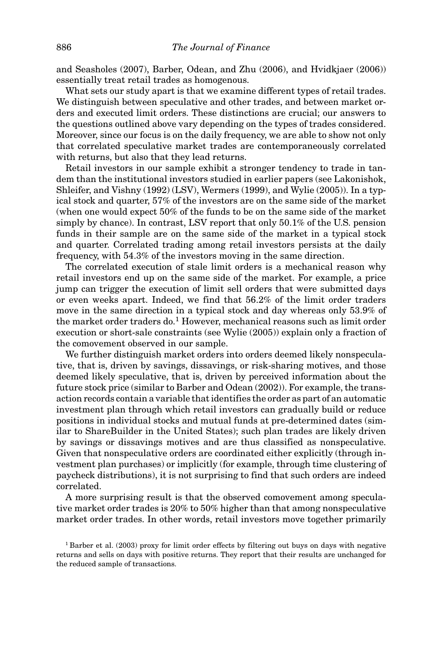and Seasholes (2007), Barber, Odean, and Zhu (2006), and Hvidkjaer (2006)) essentially treat retail trades as homogenous.

What sets our study apart is that we examine different types of retail trades. We distinguish between speculative and other trades, and between market orders and executed limit orders. These distinctions are crucial; our answers to the questions outlined above vary depending on the types of trades considered. Moreover, since our focus is on the daily frequency, we are able to show not only that correlated speculative market trades are contemporaneously correlated with returns, but also that they lead returns.

Retail investors in our sample exhibit a stronger tendency to trade in tandem than the institutional investors studied in earlier papers (see Lakonishok, Shleifer, and Vishny (1992) (LSV), Wermers (1999), and Wylie (2005)). In a typical stock and quarter, 57% of the investors are on the same side of the market (when one would expect 50% of the funds to be on the same side of the market simply by chance). In contrast, LSV report that only 50.1% of the U.S. pension funds in their sample are on the same side of the market in a typical stock and quarter. Correlated trading among retail investors persists at the daily frequency, with 54.3% of the investors moving in the same direction.

The correlated execution of stale limit orders is a mechanical reason why retail investors end up on the same side of the market. For example, a price jump can trigger the execution of limit sell orders that were submitted days or even weeks apart. Indeed, we find that 56.2% of the limit order traders move in the same direction in a typical stock and day whereas only 53.9% of the market order traders do.<sup>1</sup> However, mechanical reasons such as limit order execution or short-sale constraints (see Wylie (2005)) explain only a fraction of the comovement observed in our sample.

We further distinguish market orders into orders deemed likely nonspeculative, that is, driven by savings, dissavings, or risk-sharing motives, and those deemed likely speculative, that is, driven by perceived information about the future stock price (similar to Barber and Odean (2002)). For example, the transaction records contain a variable that identifies the order as part of an automatic investment plan through which retail investors can gradually build or reduce positions in individual stocks and mutual funds at pre-determined dates (similar to ShareBuilder in the United States); such plan trades are likely driven by savings or dissavings motives and are thus classified as nonspeculative. Given that nonspeculative orders are coordinated either explicitly (through investment plan purchases) or implicitly (for example, through time clustering of paycheck distributions), it is not surprising to find that such orders are indeed correlated.

A more surprising result is that the observed comovement among speculative market order trades is 20% to 50% higher than that among nonspeculative market order trades. In other words, retail investors move together primarily

<sup>&</sup>lt;sup>1</sup> Barber et al. (2003) proxy for limit order effects by filtering out buys on days with negative returns and sells on days with positive returns. They report that their results are unchanged for the reduced sample of transactions.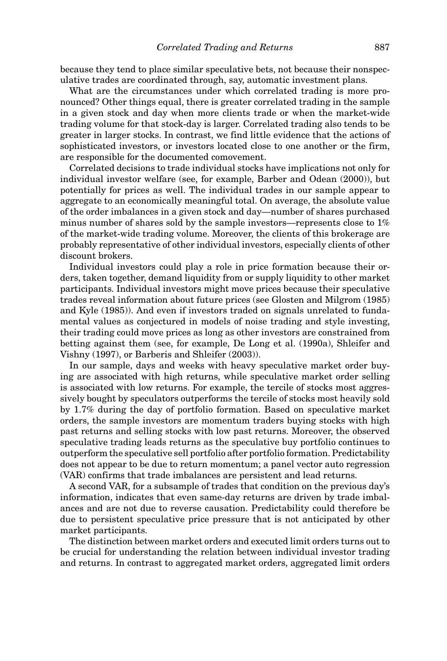because they tend to place similar speculative bets, not because their nonspeculative trades are coordinated through, say, automatic investment plans.

What are the circumstances under which correlated trading is more pronounced? Other things equal, there is greater correlated trading in the sample in a given stock and day when more clients trade or when the market-wide trading volume for that stock-day is larger. Correlated trading also tends to be greater in larger stocks. In contrast, we find little evidence that the actions of sophisticated investors, or investors located close to one another or the firm, are responsible for the documented comovement.

Correlated decisions to trade individual stocks have implications not only for individual investor welfare (see, for example, Barber and Odean (2000)), but potentially for prices as well. The individual trades in our sample appear to aggregate to an economically meaningful total. On average, the absolute value of the order imbalances in a given stock and day—number of shares purchased minus number of shares sold by the sample investors—represents close to 1% of the market-wide trading volume. Moreover, the clients of this brokerage are probably representative of other individual investors, especially clients of other discount brokers.

Individual investors could play a role in price formation because their orders, taken together, demand liquidity from or supply liquidity to other market participants. Individual investors might move prices because their speculative trades reveal information about future prices (see Glosten and Milgrom (1985) and Kyle (1985)). And even if investors traded on signals unrelated to fundamental values as conjectured in models of noise trading and style investing, their trading could move prices as long as other investors are constrained from betting against them (see, for example, De Long et al. (1990a), Shleifer and Vishny (1997), or Barberis and Shleifer (2003)).

In our sample, days and weeks with heavy speculative market order buying are associated with high returns, while speculative market order selling is associated with low returns. For example, the tercile of stocks most aggressively bought by speculators outperforms the tercile of stocks most heavily sold by 1.7% during the day of portfolio formation. Based on speculative market orders, the sample investors are momentum traders buying stocks with high past returns and selling stocks with low past returns. Moreover, the observed speculative trading leads returns as the speculative buy portfolio continues to outperform the speculative sell portfolio after portfolio formation. Predictability does not appear to be due to return momentum; a panel vector auto regression (VAR) confirms that trade imbalances are persistent and lead returns.

A second VAR, for a subsample of trades that condition on the previous day's information, indicates that even same-day returns are driven by trade imbalances and are not due to reverse causation. Predictability could therefore be due to persistent speculative price pressure that is not anticipated by other market participants.

The distinction between market orders and executed limit orders turns out to be crucial for understanding the relation between individual investor trading and returns. In contrast to aggregated market orders, aggregated limit orders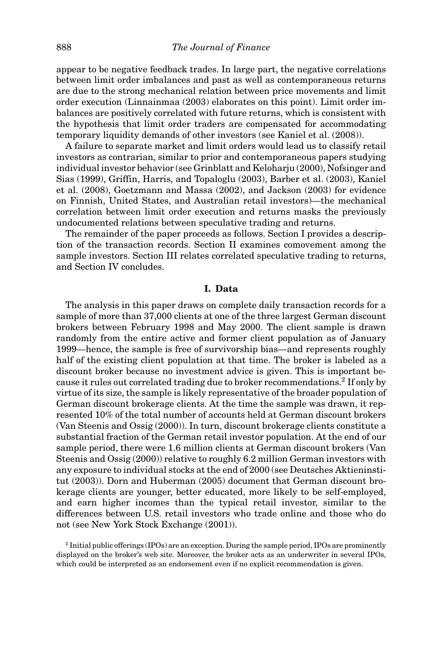appear to be negative feedback trades. In large part, the negative correlations between limit order imbalances and past as well as contemporaneous returns are due to the strong mechanical relation between price movements and limit order execution (Linnainmaa (2003) elaborates on this point). Limit order imbalances are positively correlated with future returns, which is consistent with the hypothesis that limit order traders are compensated for accommodating temporary liquidity demands of other investors (see Kaniel et al. (2008)).

A failure to separate market and limit orders would lead us to classify retail investors as contrarian, similar to prior and contemporaneous papers studying individual investor behavior (see Grinblatt and Keloharju (2000), Nofsinger and Sias (1999), Griffin, Harris, and Topaloglu (2003), Barber et al. (2003), Kaniel et al. (2008), Goetzmann and Massa (2002), and Jackson (2003) for evidence on Finnish, United States, and Australian retail investors)—the mechanical correlation between limit order execution and returns masks the previously undocumented relations between speculative trading and returns.

The remainder of the paper proceeds as follows. Section I provides a description of the transaction records. Section II examines comovement among the sample investors. Section III relates correlated speculative trading to returns, and Section IV concludes.

### **I. Data**

The analysis in this paper draws on complete daily transaction records for a sample of more than 37,000 clients at one of the three largest German discount brokers between February 1998 and May 2000. The client sample is drawn randomly from the entire active and former client population as of January 1999—hence, the sample is free of survivorship bias—and represents roughly half of the existing client population at that time. The broker is labeled as a discount broker because no investment advice is given. This is important because it rules out correlated trading due to broker recommendations.<sup>2</sup> If only by virtue of its size, the sample is likely representative of the broader population of German discount brokerage clients. At the time the sample was drawn, it represented 10% of the total number of accounts held at German discount brokers (Van Steenis and Ossig (2000)). In turn, discount brokerage clients constitute a substantial fraction of the German retail investor population. At the end of our sample period, there were 1.6 million clients at German discount brokers (Van Steenis and Ossig (2000)) relative to roughly 6.2 million German investors with any exposure to individual stocks at the end of 2000 (see Deutsches Aktieninstitut (2003)). Dorn and Huberman (2005) document that German discount brokerage clients are younger, better educated, more likely to be self-employed, and earn higher incomes than the typical retail investor, similar to the differences between U.S. retail investors who trade online and those who do not (see New York Stock Exchange (2001)).

<sup>&</sup>lt;sup>2</sup> Initial public offerings (IPOs) are an exception. During the sample period, IPOs are prominently displayed on the broker's web site. Moreover, the broker acts as an underwriter in several IPOs, which could be interpreted as an endorsement even if no explicit recommendation is given.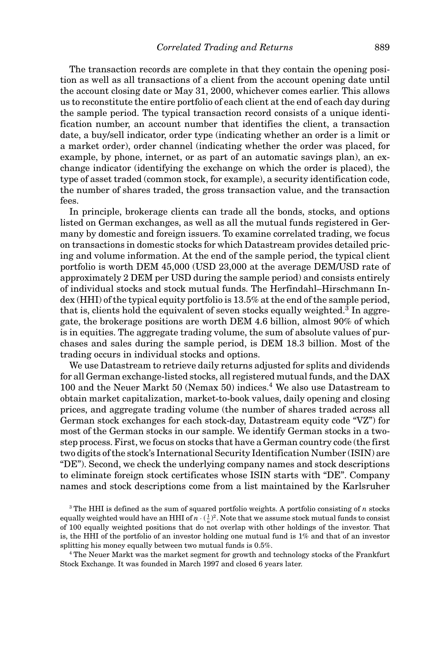The transaction records are complete in that they contain the opening position as well as all transactions of a client from the account opening date until the account closing date or May 31, 2000, whichever comes earlier. This allows us to reconstitute the entire portfolio of each client at the end of each day during the sample period. The typical transaction record consists of a unique identification number, an account number that identifies the client, a transaction date, a buy/sell indicator, order type (indicating whether an order is a limit or a market order), order channel (indicating whether the order was placed, for example, by phone, internet, or as part of an automatic savings plan), an exchange indicator (identifying the exchange on which the order is placed), the type of asset traded (common stock, for example), a security identification code, the number of shares traded, the gross transaction value, and the transaction fees.

In principle, brokerage clients can trade all the bonds, stocks, and options listed on German exchanges, as well as all the mutual funds registered in Germany by domestic and foreign issuers. To examine correlated trading, we focus on transactions in domestic stocks for which Datastream provides detailed pricing and volume information. At the end of the sample period, the typical client portfolio is worth DEM 45,000 (USD 23,000 at the average DEM/USD rate of approximately 2 DEM per USD during the sample period) and consists entirely of individual stocks and stock mutual funds. The Herfindahl–Hirschmann Index (HHI) of the typical equity portfolio is 13.5% at the end of the sample period, that is, clients hold the equivalent of seven stocks equally weighted.<sup>3</sup> In aggregate, the brokerage positions are worth DEM 4.6 billion, almost 90% of which is in equities. The aggregate trading volume, the sum of absolute values of purchases and sales during the sample period, is DEM 18.3 billion. Most of the trading occurs in individual stocks and options.

We use Datastream to retrieve daily returns adjusted for splits and dividends for all German exchange-listed stocks, all registered mutual funds, and the DAX 100 and the Neuer Markt 50 (Nemax 50) indices.4 We also use Datastream to obtain market capitalization, market-to-book values, daily opening and closing prices, and aggregate trading volume (the number of shares traded across all German stock exchanges for each stock-day, Datastream equity code "VZ") for most of the German stocks in our sample. We identify German stocks in a twostep process. First, we focus on stocks that have a German country code (the first two digits of the stock's International Security Identification Number (ISIN) are "DE"). Second, we check the underlying company names and stock descriptions to eliminate foreign stock certificates whose ISIN starts with "DE". Company names and stock descriptions come from a list maintained by the Karlsruher

<sup>3</sup> The HHI is defined as the sum of squared portfolio weights. A portfolio consisting of *n* stocks equally weighted would have an HHI of  $n \cdot (\frac{1}{n})^2$ . Note that we assume stock mutual funds to consist of 100 equally weighted positions that do not overlap with other holdings of the investor. That is, the HHI of the portfolio of an investor holding one mutual fund is 1% and that of an investor splitting his money equally between two mutual funds is 0.5%.

<sup>4</sup> The Neuer Markt was the market segment for growth and technology stocks of the Frankfurt Stock Exchange. It was founded in March 1997 and closed 6 years later.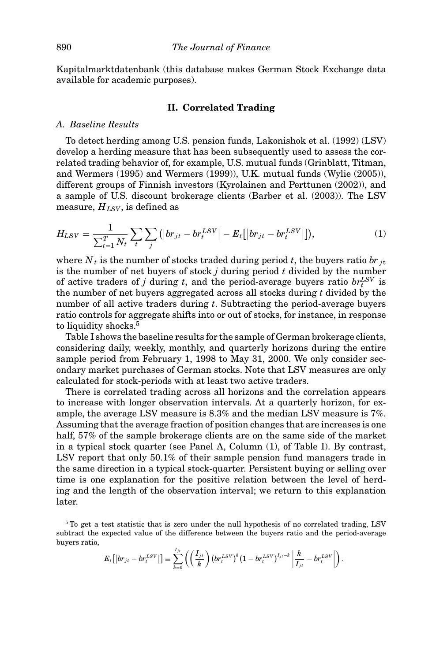Kapitalmarktdatenbank (this database makes German Stock Exchange data available for academic purposes).

## **II. Correlated Trading**

## *A. Baseline Results*

To detect herding among U.S. pension funds, Lakonishok et al. (1992) (LSV) develop a herding measure that has been subsequently used to assess the correlated trading behavior of, for example, U.S. mutual funds (Grinblatt, Titman, and Wermers (1995) and Wermers (1999)), U.K. mutual funds (Wylie (2005)), different groups of Finnish investors (Kyrolainen and Perttunen (2002)), and a sample of U.S. discount brokerage clients (Barber et al. (2003)). The LSV measure, *HLSV* , is defined as

$$
H_{LSV} = \frac{1}{\sum_{t=1}^{T} N_t} \sum_{t} \sum_{j} (|br_{jt} - br_t^{LSV}| - E_t[|br_{jt} - br_t^{LSV}|]),
$$
 (1)

where  $N_t$  is the number of stocks traded during period t, the buyers ratio br  $_{it}$ is the number of net buyers of stock *j* during period *t* divided by the number of active traders of *j* during *t*, and the period-average buyers ratio  $b r_t^{LSV}$  is the number of net buyers aggregated across all stocks during *t* divided by the number of all active traders during *t*. Subtracting the period-average buyers ratio controls for aggregate shifts into or out of stocks, for instance, in response to liquidity shocks.<sup>5</sup>

Table I shows the baseline results for the sample of German brokerage clients, considering daily, weekly, monthly, and quarterly horizons during the entire sample period from February 1, 1998 to May 31, 2000. We only consider secondary market purchases of German stocks. Note that LSV measures are only calculated for stock-periods with at least two active traders.

There is correlated trading across all horizons and the correlation appears to increase with longer observation intervals. At a quarterly horizon, for example, the average LSV measure is 8.3% and the median LSV measure is 7%. Assuming that the average fraction of position changes that are increases is one half, 57% of the sample brokerage clients are on the same side of the market in a typical stock quarter (see Panel A, Column (1), of Table I). By contrast, LSV report that only 50.1% of their sample pension fund managers trade in the same direction in a typical stock-quarter. Persistent buying or selling over time is one explanation for the positive relation between the level of herding and the length of the observation interval; we return to this explanation later.

<sup>5</sup>To get a test statistic that is zero under the null hypothesis of no correlated trading, LSV subtract the expected value of the difference between the buyers ratio and the period-average buyers ratio,

$$
E_t[|br_{jt} - br_t^{LSV}|] \equiv \sum_{k=0}^{I_{jt}} \left( \left(\frac{I_{jt}}{k}\right) \left( b r_t^{LSV} \right)^k \left( 1 - b r_t^{LSV} \right)^{I_{jt} - k} \left| \frac{k}{I_{jt}} - b r_t^{LSV} \right| \right)
$$

.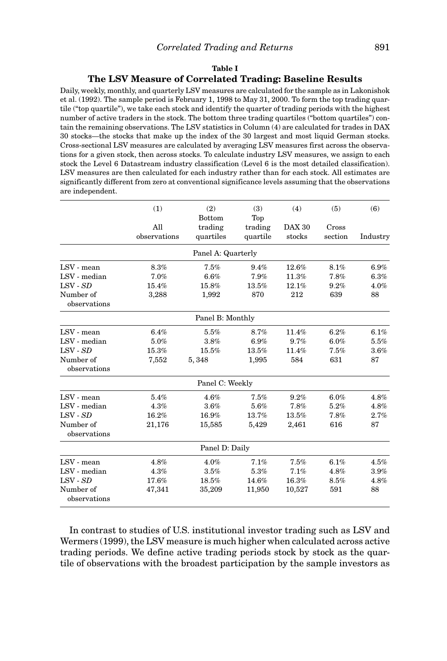# **Table I The LSV Measure of Correlated Trading: Baseline Results**

Daily, weekly, monthly, and quarterly LSV measures are calculated for the sample as in Lakonishok et al. (1992). The sample period is February 1, 1998 to May 31, 2000. To form the top trading quartile ("top quartile"), we take each stock and identify the quarter of trading periods with the highest number of active traders in the stock. The bottom three trading quartiles ("bottom quartiles") contain the remaining observations. The LSV statistics in Column (4) are calculated for trades in DAX 30 stocks—the stocks that make up the index of the 30 largest and most liquid German stocks. Cross-sectional LSV measures are calculated by averaging LSV measures first across the observations for a given stock, then across stocks. To calculate industry LSV measures, we assign to each stock the Level 6 Datastream industry classification (Level 6 is the most detailed classification). LSV measures are then calculated for each industry rather than for each stock. All estimates are significantly different from zero at conventional significance levels assuming that the observations are independent.

|                           | (1)                 | (2)<br><b>Bottom</b> | (3)<br>Top          | (4)                     | (5)              | (6)      |
|---------------------------|---------------------|----------------------|---------------------|-------------------------|------------------|----------|
|                           | All<br>observations | trading<br>quartiles | trading<br>quartile | <b>DAX 30</b><br>stocks | Cross<br>section | Industry |
|                           |                     | Panel A: Quarterly   |                     |                         |                  |          |
| $LSV$ - mean              | 8.3%                | 7.5%                 | 9.4%                | 12.6%                   | 8.1%             | 6.9%     |
| LSV - median              | 7.0%                | 6.6%                 | 7.9%                | 11.3%                   | 7.8%             | 6.3%     |
| $LSV - SD$                | 15.4%               | 15.8%                | 13.5%               | 12.1%                   | 9.2%             | 4.0%     |
| Number of<br>observations | 3,288               | 1,992                | 870                 | 212                     | 639              | 88       |
|                           |                     | Panel B: Monthly     |                     |                         |                  |          |
| LSV - mean                | 6.4%                | 5.5%                 | 8.7%                | 11.4%                   | 6.2%             | 6.1%     |
| LSV - median              | 5.0%                | 3.8%                 | 6.9%                | 9.7%                    | 6.0%             | 5.5%     |
| $LSV - SD$                | 15.3%               | 15.5%                | 13.5%               | 11.4%                   | 7.5%             | 3.6%     |
| Number of<br>observations | 7.552               | 5,348                | 1,995               | 584                     | 631              | 87       |
|                           |                     | Panel C: Weekly      |                     |                         |                  |          |
| LSV - mean                | 5.4%                | 4.6%                 | 7.5%                | 9.2%                    | 6.0%             | 4.8%     |
| LSV - median              | 4.3%                | 3.6%                 | 5.6%                | 7.8%                    | 5.2%             | 4.8%     |
| $LSV - SD$                | 16.2%               | 16.9%                | 13.7%               | 13.5%                   | 7.8%             | 2.7%     |
| Number of<br>observations | 21,176              | 15,585               | 5,429               | 2,461                   | 616              | 87       |
|                           |                     | Panel D: Daily       |                     |                         |                  |          |
| LSV - mean                | 4.8%                | 4.0%                 | 7.1%                | 7.5%                    | 6.1%             | 4.5%     |
| LSV - median              | 4.3%                | 3.5%                 | 5.3%                | 7.1%                    | 4.8%             | 3.9%     |
| $LSV - SD$                | 17.6%               | 18.5%                | 14.6%               | 16.3%                   | 8.5%             | 4.8%     |
| Number of<br>observations | 47,341              | 35,209               | 11,950              | 10,527                  | 591              | 88       |

In contrast to studies of U.S. institutional investor trading such as LSV and Wermers (1999), the LSV measure is much higher when calculated across active trading periods. We define active trading periods stock by stock as the quartile of observations with the broadest participation by the sample investors as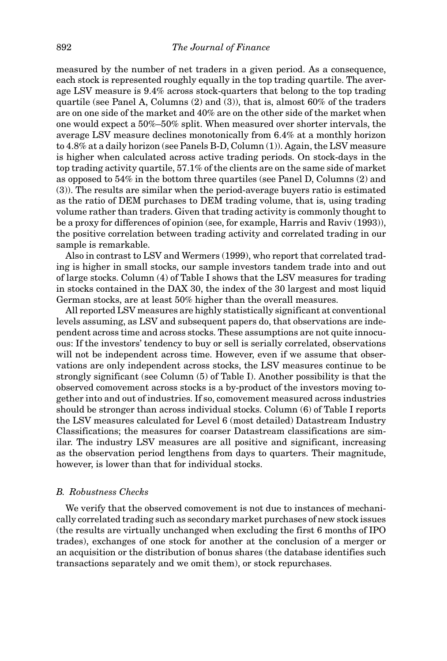measured by the number of net traders in a given period. As a consequence, each stock is represented roughly equally in the top trading quartile. The average LSV measure is 9.4% across stock-quarters that belong to the top trading quartile (see Panel A, Columns (2) and (3)), that is, almost 60% of the traders are on one side of the market and 40% are on the other side of the market when one would expect a 50%–50% split. When measured over shorter intervals, the average LSV measure declines monotonically from 6.4% at a monthly horizon to 4.8% at a daily horizon (see Panels B-D, Column (1)). Again, the LSV measure is higher when calculated across active trading periods. On stock-days in the top trading activity quartile, 57.1% of the clients are on the same side of market as opposed to 54% in the bottom three quartiles (see Panel D, Columns (2) and (3)). The results are similar when the period-average buyers ratio is estimated as the ratio of DEM purchases to DEM trading volume, that is, using trading volume rather than traders. Given that trading activity is commonly thought to be a proxy for differences of opinion (see, for example, Harris and Raviv (1993)), the positive correlation between trading activity and correlated trading in our sample is remarkable.

Also in contrast to LSV and Wermers (1999), who report that correlated trading is higher in small stocks, our sample investors tandem trade into and out of large stocks. Column (4) of Table I shows that the LSV measures for trading in stocks contained in the DAX 30, the index of the 30 largest and most liquid German stocks, are at least 50% higher than the overall measures.

All reported LSV measures are highly statistically significant at conventional levels assuming, as LSV and subsequent papers do, that observations are independent across time and across stocks. These assumptions are not quite innocuous: If the investors' tendency to buy or sell is serially correlated, observations will not be independent across time. However, even if we assume that observations are only independent across stocks, the LSV measures continue to be strongly significant (see Column (5) of Table I). Another possibility is that the observed comovement across stocks is a by-product of the investors moving together into and out of industries. If so, comovement measured across industries should be stronger than across individual stocks. Column (6) of Table I reports the LSV measures calculated for Level 6 (most detailed) Datastream Industry Classifications; the measures for coarser Datastream classifications are similar. The industry LSV measures are all positive and significant, increasing as the observation period lengthens from days to quarters. Their magnitude, however, is lower than that for individual stocks.

#### *B. Robustness Checks*

We verify that the observed comovement is not due to instances of mechanically correlated trading such as secondary market purchases of new stock issues (the results are virtually unchanged when excluding the first 6 months of IPO trades), exchanges of one stock for another at the conclusion of a merger or an acquisition or the distribution of bonus shares (the database identifies such transactions separately and we omit them), or stock repurchases.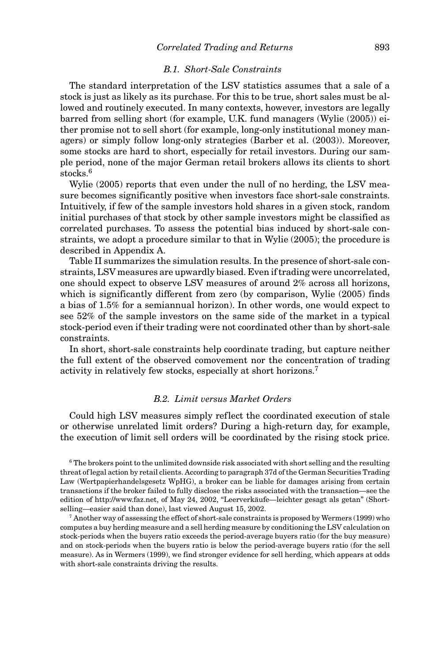#### *Correlated Trading and Returns* 893

#### *B.1. Short-Sale Constraints*

The standard interpretation of the LSV statistics assumes that a sale of a stock is just as likely as its purchase. For this to be true, short sales must be allowed and routinely executed. In many contexts, however, investors are legally barred from selling short (for example, U.K. fund managers (Wylie (2005)) either promise not to sell short (for example, long-only institutional money managers) or simply follow long-only strategies (Barber et al. (2003)). Moreover, some stocks are hard to short, especially for retail investors. During our sample period, none of the major German retail brokers allows its clients to short stocks.<sup>6</sup>

Wylie (2005) reports that even under the null of no herding, the LSV measure becomes significantly positive when investors face short-sale constraints. Intuitively, if few of the sample investors hold shares in a given stock, random initial purchases of that stock by other sample investors might be classified as correlated purchases. To assess the potential bias induced by short-sale constraints, we adopt a procedure similar to that in Wylie (2005); the procedure is described in Appendix A.

Table II summarizes the simulation results. In the presence of short-sale constraints, LSV measures are upwardly biased. Even if trading were uncorrelated, one should expect to observe LSV measures of around 2% across all horizons, which is significantly different from zero (by comparison, Wylie (2005) finds a bias of 1.5% for a semiannual horizon). In other words, one would expect to see 52% of the sample investors on the same side of the market in a typical stock-period even if their trading were not coordinated other than by short-sale constraints.

In short, short-sale constraints help coordinate trading, but capture neither the full extent of the observed comovement nor the concentration of trading activity in relatively few stocks, especially at short horizons.<sup>7</sup>

#### *B.2. Limit versus Market Orders*

Could high LSV measures simply reflect the coordinated execution of stale or otherwise unrelated limit orders? During a high-return day, for example, the execution of limit sell orders will be coordinated by the rising stock price.

<sup>6</sup> The brokers point to the unlimited downside risk associated with short selling and the resulting threat of legal action by retail clients. According to paragraph 37d of the German Securities Trading Law (Wertpapierhandelsgesetz WpHG), a broker can be liable for damages arising from certain transactions if the broker failed to fully disclose the risks associated with the transaction—see the edition of http://www.faz.net, of May 24, 2002, "Leerverkäufe-leichter gesagt als getan" (Shortselling—easier said than done), last viewed August 15, 2002.

 $^7$  Another way of assessing the effect of short-sale constraints is proposed by Wermers (1999) who computes a buy herding measure and a sell herding measure by conditioning the LSV calculation on stock-periods when the buyers ratio exceeds the period-average buyers ratio (for the buy measure) and on stock-periods when the buyers ratio is below the period-average buyers ratio (for the sell measure). As in Wermers (1999), we find stronger evidence for sell herding, which appears at odds with short-sale constraints driving the results.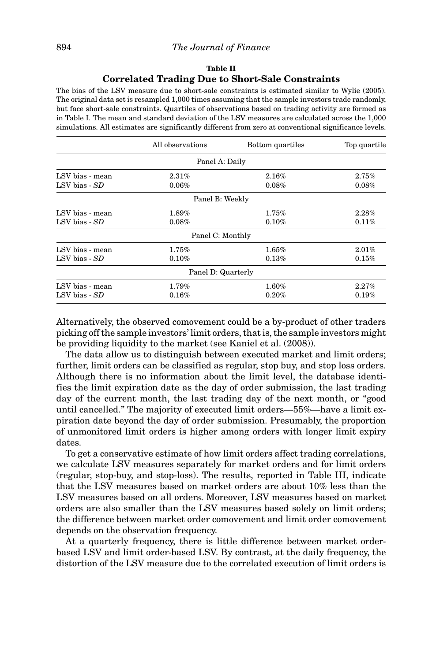## **Table II Correlated Trading Due to Short-Sale Constraints**

The bias of the LSV measure due to short-sale constraints is estimated similar to Wylie (2005). The original data set is resampled 1,000 times assuming that the sample investors trade randomly, but face short-sale constraints. Quartiles of observations based on trading activity are formed as in Table I. The mean and standard deviation of the LSV measures are calculated across the 1,000 simulations. All estimates are significantly different from zero at conventional significance levels.

|                 | All observations   | Bottom quartiles | Top quartile |
|-----------------|--------------------|------------------|--------------|
|                 | Panel A: Daily     |                  |              |
| LSV bias - mean | $2.31\%$           | 2.16%            | 2.75%        |
| LSV bias - $SD$ | 0.06%              | 0.08%            | 0.08%        |
|                 | Panel B: Weekly    |                  |              |
| LSV bias - mean | $1.89\%$           | 1.75%            | 2.28%        |
| LSV bias - $SD$ | 0.08%              | 0.10%            | 0.11%        |
|                 | Panel C: Monthly   |                  |              |
| LSV bias - mean | 1.75%              | $1.65\%$         | 2.01%        |
| LSV bias - $SD$ | 0.10%              | 0.13%            | $0.15\%$     |
|                 | Panel D: Quarterly |                  |              |
| LSV bias - mean | $1.79\%$           | $1.60\%$         | 2.27%        |
| LSV bias - $SD$ | 0.16%              | 0.20%            | 0.19%        |

Alternatively, the observed comovement could be a by-product of other traders picking off the sample investors' limit orders, that is, the sample investors might be providing liquidity to the market (see Kaniel et al. (2008)).

The data allow us to distinguish between executed market and limit orders; further, limit orders can be classified as regular, stop buy, and stop loss orders. Although there is no information about the limit level, the database identifies the limit expiration date as the day of order submission, the last trading day of the current month, the last trading day of the next month, or "good until cancelled." The majority of executed limit orders—55%—have a limit expiration date beyond the day of order submission. Presumably, the proportion of unmonitored limit orders is higher among orders with longer limit expiry dates.

To get a conservative estimate of how limit orders affect trading correlations, we calculate LSV measures separately for market orders and for limit orders (regular, stop-buy, and stop-loss). The results, reported in Table III, indicate that the LSV measures based on market orders are about 10% less than the LSV measures based on all orders. Moreover, LSV measures based on market orders are also smaller than the LSV measures based solely on limit orders; the difference between market order comovement and limit order comovement depends on the observation frequency.

At a quarterly frequency, there is little difference between market orderbased LSV and limit order-based LSV. By contrast, at the daily frequency, the distortion of the LSV measure due to the correlated execution of limit orders is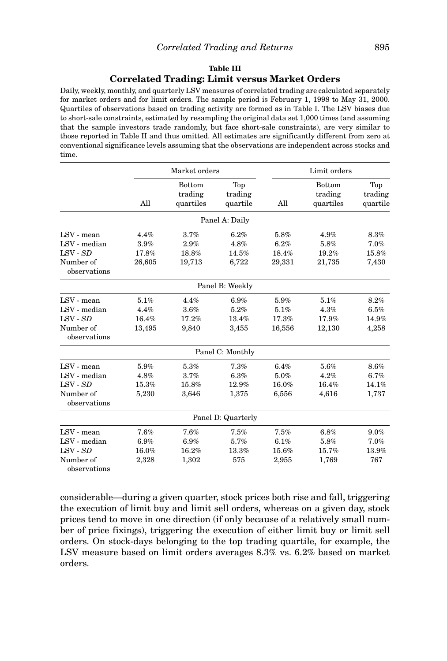### **Table III Correlated Trading: Limit versus Market Orders**

Daily, weekly, monthly, and quarterly LSV measures of correlated trading are calculated separately for market orders and for limit orders. The sample period is February 1, 1998 to May 31, 2000. Quartiles of observations based on trading activity are formed as in Table I. The LSV biases due to short-sale constraints, estimated by resampling the original data set 1,000 times (and assuming that the sample investors trade randomly, but face short-sale constraints), are very similar to those reported in Table II and thus omitted. All estimates are significantly different from zero at conventional significance levels assuming that the observations are independent across stocks and time.

|                           |         | Market orders                         |                            |        | Limit orders                          |                            |
|---------------------------|---------|---------------------------------------|----------------------------|--------|---------------------------------------|----------------------------|
|                           | All     | <b>Bottom</b><br>trading<br>quartiles | Top<br>trading<br>quartile | All    | <b>Bottom</b><br>trading<br>quartiles | Top<br>trading<br>quartile |
|                           |         |                                       | Panel A: Daily             |        |                                       |                            |
| LSV - mean                | 4.4%    | 3.7%                                  | 6.2%                       | 5.8%   | 4.9%                                  | 8.3%                       |
| LSV - median              | $3.9\%$ | 2.9%                                  | 4.8%                       | 6.2%   | 5.8%                                  | 7.0%                       |
| $LSV - SD$                | 17.8%   | 18.8%                                 | 14.5%                      | 18.4%  | 19.2%                                 | 15.8%                      |
| Number of<br>observations | 26,605  | 19,713                                | 6,722                      | 29,331 | 21,735                                | 7,430                      |
|                           |         |                                       | Panel B: Weekly            |        |                                       |                            |
| LSV - mean                | 5.1%    | 4.4%                                  | 6.9%                       | 5.9%   | 5.1%                                  | 8.2%                       |
| LSV - median              | $4.4\%$ | 3.6%                                  | 5.2%                       | 5.1%   | 4.3%                                  | 6.5%                       |
| $LSV - SD$                | 16.4%   | 17.2%                                 | 13.4%                      | 17.3%  | 17.9%                                 | 14.9%                      |
| Number of<br>observations | 13,495  | 9,840                                 | 3,455                      | 16,556 | 12,130                                | 4,258                      |
|                           |         |                                       | Panel C: Monthly           |        |                                       |                            |
| <b>LSV</b> - mean         | 5.9%    | 5.3%                                  | 7.3%                       | 6.4%   | 5.6%                                  | 8.6%                       |
| LSV - median              | 4.8%    | 3.7%                                  | 6.3%                       | 5.0%   | 4.2%                                  | 6.7%                       |
| $LSV - SD$                | 15.3%   | 15.8%                                 | 12.9%                      | 16.0%  | 16.4%                                 | 14.1%                      |
| Number of<br>observations | 5,230   | 3,646                                 | 1,375                      | 6,556  | 4,616                                 | 1,737                      |
|                           |         |                                       | Panel D: Quarterly         |        |                                       |                            |
| LSV - mean                | 7.6%    | 7.6%                                  | 7.5%                       | 7.5%   | 6.8%                                  | $9.0\%$                    |
| LSV - median              | 6.9%    | 6.9%                                  | 5.7%                       | 6.1%   | 5.8%                                  | 7.0%                       |
| $LSV - SD$                | 16.0%   | 16.2%                                 | 13.3%                      | 15.6%  | 15.7%                                 | 13.9%                      |
| Number of<br>observations | 2,328   | 1,302                                 | 575                        | 2,955  | 1,769                                 | 767                        |

considerable—during a given quarter, stock prices both rise and fall, triggering the execution of limit buy and limit sell orders, whereas on a given day, stock prices tend to move in one direction (if only because of a relatively small number of price fixings), triggering the execution of either limit buy or limit sell orders. On stock-days belonging to the top trading quartile, for example, the LSV measure based on limit orders averages 8.3% vs. 6.2% based on market orders.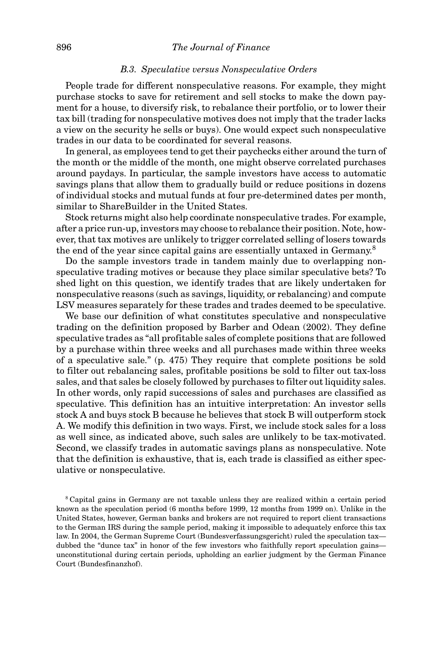### *B.3. Speculative versus Nonspeculative Orders*

People trade for different nonspeculative reasons. For example, they might purchase stocks to save for retirement and sell stocks to make the down payment for a house, to diversify risk, to rebalance their portfolio, or to lower their tax bill (trading for nonspeculative motives does not imply that the trader lacks a view on the security he sells or buys). One would expect such nonspeculative trades in our data to be coordinated for several reasons.

In general, as employees tend to get their paychecks either around the turn of the month or the middle of the month, one might observe correlated purchases around paydays. In particular, the sample investors have access to automatic savings plans that allow them to gradually build or reduce positions in dozens of individual stocks and mutual funds at four pre-determined dates per month, similar to ShareBuilder in the United States.

Stock returns might also help coordinate nonspeculative trades. For example, after a price run-up, investors may choose to rebalance their position. Note, however, that tax motives are unlikely to trigger correlated selling of losers towards the end of the year since capital gains are essentially untaxed in Germany.<sup>8</sup>

Do the sample investors trade in tandem mainly due to overlapping nonspeculative trading motives or because they place similar speculative bets? To shed light on this question, we identify trades that are likely undertaken for nonspeculative reasons (such as savings, liquidity, or rebalancing) and compute LSV measures separately for these trades and trades deemed to be speculative.

We base our definition of what constitutes speculative and nonspeculative trading on the definition proposed by Barber and Odean (2002). They define speculative trades as "all profitable sales of complete positions that are followed by a purchase within three weeks and all purchases made within three weeks of a speculative sale." (p. 475) They require that complete positions be sold to filter out rebalancing sales, profitable positions be sold to filter out tax-loss sales, and that sales be closely followed by purchases to filter out liquidity sales. In other words, only rapid successions of sales and purchases are classified as speculative. This definition has an intuitive interpretation: An investor sells stock A and buys stock B because he believes that stock B will outperform stock A. We modify this definition in two ways. First, we include stock sales for a loss as well since, as indicated above, such sales are unlikely to be tax-motivated. Second, we classify trades in automatic savings plans as nonspeculative. Note that the definition is exhaustive, that is, each trade is classified as either speculative or nonspeculative.

<sup>8</sup> Capital gains in Germany are not taxable unless they are realized within a certain period known as the speculation period (6 months before 1999, 12 months from 1999 on). Unlike in the United States, however, German banks and brokers are not required to report client transactions to the German IRS during the sample period, making it impossible to adequately enforce this tax law. In 2004, the German Supreme Court (Bundesverfassungsgericht) ruled the speculation tax dubbed the "dunce tax" in honor of the few investors who faithfully report speculation gains unconstitutional during certain periods, upholding an earlier judgment by the German Finance Court (Bundesfinanzhof).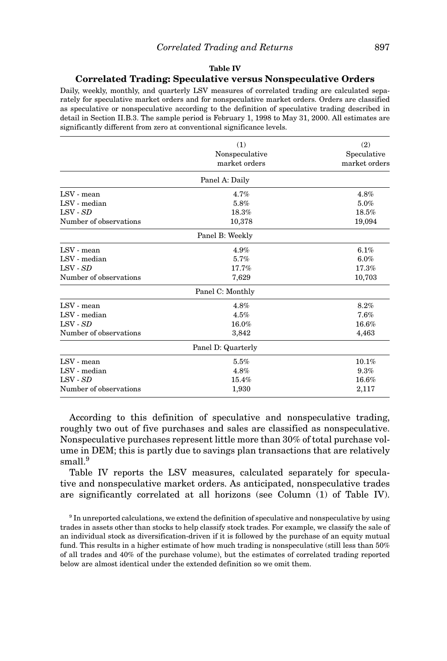### **Table IV Correlated Trading: Speculative versus Nonspeculative Orders**

Daily, weekly, monthly, and quarterly LSV measures of correlated trading are calculated separately for speculative market orders and for nonspeculative market orders. Orders are classified as speculative or nonspeculative according to the definition of speculative trading described in detail in Section II.B.3. The sample period is February 1, 1998 to May 31, 2000. All estimates are significantly different from zero at conventional significance levels.

|                        | (1)<br>Nonspeculative<br>market orders | (2)<br>Speculative<br>market orders |
|------------------------|----------------------------------------|-------------------------------------|
|                        | Panel A: Daily                         |                                     |
| LSV - mean             | 4.7%                                   | 4.8%                                |
| LSV - median           | 5.8%                                   | 5.0%                                |
| $LSV - SD$             | 18.3%                                  | 18.5%                               |
| Number of observations | 10,378                                 | 19,094                              |
|                        | Panel B: Weekly                        |                                     |
| LSV - mean             | 4.9%                                   | 6.1%                                |
| LSV - median           | 5.7%                                   | 6.0%                                |
| $LSV - SD$             | 17.7%                                  | 17.3%                               |
| Number of observations | 7,629                                  | 10,703                              |
|                        | Panel C: Monthly                       |                                     |
| LSV - mean             | 4.8%                                   | 8.2%                                |
| LSV - median           | 4.5%                                   | 7.6%                                |
| $LSV - SD$             | 16.0%                                  | 16.6%                               |
| Number of observations | 3,842                                  | 4,463                               |
|                        | Panel D: Quarterly                     |                                     |
| LSV - mean             | 5.5%                                   | 10.1%                               |
| LSV - median           | 4.8%                                   | 9.3%                                |
| $LSV - SD$             | 15.4%                                  | 16.6%                               |
| Number of observations | 1,930                                  | 2,117                               |

According to this definition of speculative and nonspeculative trading, roughly two out of five purchases and sales are classified as nonspeculative. Nonspeculative purchases represent little more than 30% of total purchase volume in DEM; this is partly due to savings plan transactions that are relatively small.<sup>9</sup>

Table IV reports the LSV measures, calculated separately for speculative and nonspeculative market orders. As anticipated, nonspeculative trades are significantly correlated at all horizons (see Column (1) of Table IV).

<sup>9</sup> In unreported calculations, we extend the definition of speculative and nonspeculative by using trades in assets other than stocks to help classify stock trades. For example, we classify the sale of an individual stock as diversification-driven if it is followed by the purchase of an equity mutual fund. This results in a higher estimate of how much trading is nonspeculative (still less than 50% of all trades and 40% of the purchase volume), but the estimates of correlated trading reported below are almost identical under the extended definition so we omit them.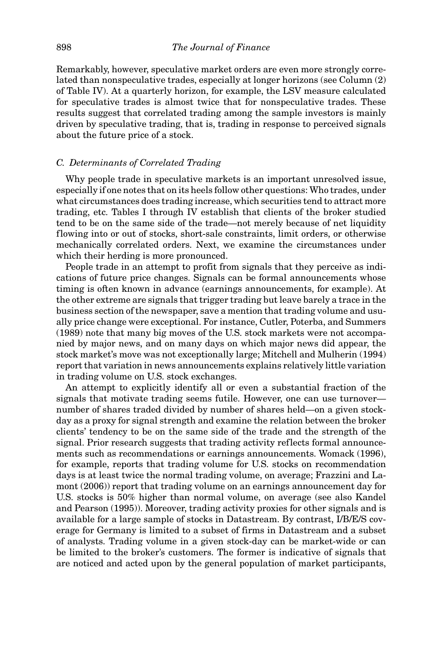Remarkably, however, speculative market orders are even more strongly correlated than nonspeculative trades, especially at longer horizons (see Column (2) of Table IV). At a quarterly horizon, for example, the LSV measure calculated for speculative trades is almost twice that for nonspeculative trades. These results suggest that correlated trading among the sample investors is mainly driven by speculative trading, that is, trading in response to perceived signals about the future price of a stock.

# *C. Determinants of Correlated Trading*

Why people trade in speculative markets is an important unresolved issue, especially if one notes that on its heels follow other questions: Who trades, under what circumstances does trading increase, which securities tend to attract more trading, etc. Tables I through IV establish that clients of the broker studied tend to be on the same side of the trade—not merely because of net liquidity flowing into or out of stocks, short-sale constraints, limit orders, or otherwise mechanically correlated orders. Next, we examine the circumstances under which their herding is more pronounced.

People trade in an attempt to profit from signals that they perceive as indications of future price changes. Signals can be formal announcements whose timing is often known in advance (earnings announcements, for example). At the other extreme are signals that trigger trading but leave barely a trace in the business section of the newspaper, save a mention that trading volume and usually price change were exceptional. For instance, Cutler, Poterba, and Summers (1989) note that many big moves of the U.S. stock markets were not accompanied by major news, and on many days on which major news did appear, the stock market's move was not exceptionally large; Mitchell and Mulherin (1994) report that variation in news announcements explains relatively little variation in trading volume on U.S. stock exchanges.

An attempt to explicitly identify all or even a substantial fraction of the signals that motivate trading seems futile. However, one can use turnover number of shares traded divided by number of shares held—on a given stockday as a proxy for signal strength and examine the relation between the broker clients' tendency to be on the same side of the trade and the strength of the signal. Prior research suggests that trading activity reflects formal announcements such as recommendations or earnings announcements. Womack (1996), for example, reports that trading volume for U.S. stocks on recommendation days is at least twice the normal trading volume, on average; Frazzini and Lamont (2006)) report that trading volume on an earnings announcement day for U.S. stocks is 50% higher than normal volume, on average (see also Kandel and Pearson (1995)). Moreover, trading activity proxies for other signals and is available for a large sample of stocks in Datastream. By contrast, I/B/E/S coverage for Germany is limited to a subset of firms in Datastream and a subset of analysts. Trading volume in a given stock-day can be market-wide or can be limited to the broker's customers. The former is indicative of signals that are noticed and acted upon by the general population of market participants,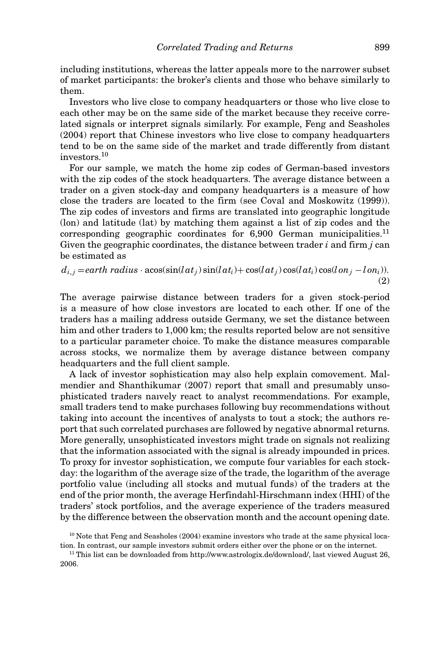including institutions, whereas the latter appeals more to the narrower subset of market participants: the broker's clients and those who behave similarly to them.

Investors who live close to company headquarters or those who live close to each other may be on the same side of the market because they receive correlated signals or interpret signals similarly. For example, Feng and Seasholes (2004) report that Chinese investors who live close to company headquarters tend to be on the same side of the market and trade differently from distant investors.10

For our sample, we match the home zip codes of German-based investors with the zip codes of the stock headquarters. The average distance between a trader on a given stock-day and company headquarters is a measure of how close the traders are located to the firm (see Coval and Moskowitz (1999)). The zip codes of investors and firms are translated into geographic longitude (lon) and latitude (lat) by matching them against a list of zip codes and the corresponding geographic coordinates for 6,900 German municipalities.<sup>11</sup> Given the geographic coordinates, the distance between trader *i* and firm *j* can be estimated as

$$
d_{i,j} = earth \, radius \cdot \arccos(\sin(lat_j)\sin(lat_i) + \cos(lat_j)\cos(lat_i)\cos(lon_j - lon_i)).\tag{2}
$$

The average pairwise distance between traders for a given stock-period is a measure of how close investors are located to each other. If one of the traders has a mailing address outside Germany, we set the distance between him and other traders to 1,000 km; the results reported below are not sensitive to a particular parameter choice. To make the distance measures comparable across stocks, we normalize them by average distance between company headquarters and the full client sample.

A lack of investor sophistication may also help explain comovement. Malmendier and Shanthikumar (2007) report that small and presumably unsophisticated traders naıvely react to analyst recommendations. For example, small traders tend to make purchases following buy recommendations without taking into account the incentives of analysts to tout a stock; the authors report that such correlated purchases are followed by negative abnormal returns. More generally, unsophisticated investors might trade on signals not realizing that the information associated with the signal is already impounded in prices. To proxy for investor sophistication, we compute four variables for each stockday: the logarithm of the average size of the trade, the logarithm of the average portfolio value (including all stocks and mutual funds) of the traders at the end of the prior month, the average Herfindahl-Hirschmann index (HHI) of the traders' stock portfolios, and the average experience of the traders measured by the difference between the observation month and the account opening date.

<sup>&</sup>lt;sup>10</sup> Note that Feng and Seasholes (2004) examine investors who trade at the same physical location. In contrast, our sample investors submit orders either over the phone or on the internet.

<sup>11</sup> This list can be downloaded from http://www.astrologix.de/download/, last viewed August 26, 2006.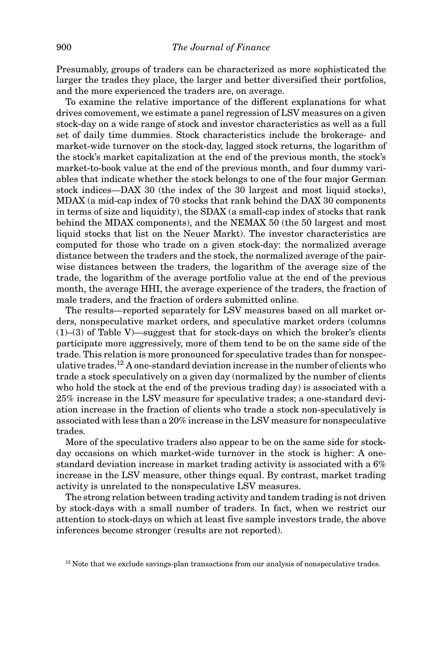Presumably, groups of traders can be characterized as more sophisticated the larger the trades they place, the larger and better diversified their portfolios, and the more experienced the traders are, on average.

To examine the relative importance of the different explanations for what drives comovement, we estimate a panel regression of LSV measures on a given stock-day on a wide range of stock and investor characteristics as well as a full set of daily time dummies. Stock characteristics include the brokerage- and market-wide turnover on the stock-day, lagged stock returns, the logarithm of the stock's market capitalization at the end of the previous month, the stock's market-to-book value at the end of the previous month, and four dummy variables that indicate whether the stock belongs to one of the four major German stock indices—DAX 30 (the index of the 30 largest and most liquid stocks), MDAX (a mid-cap index of 70 stocks that rank behind the DAX 30 components in terms of size and liquidity), the SDAX (a small-cap index of stocks that rank behind the MDAX components), and the NEMAX 50 (the 50 largest and most liquid stocks that list on the Neuer Markt). The investor characteristics are computed for those who trade on a given stock-day: the normalized average distance between the traders and the stock, the normalized average of the pairwise distances between the traders, the logarithm of the average size of the trade, the logarithm of the average portfolio value at the end of the previous month, the average HHI, the average experience of the traders, the fraction of male traders, and the fraction of orders submitted online.

The results—reported separately for LSV measures based on all market orders, nonspeculative market orders, and speculative market orders (columns  $(1)$ –(3) of Table V)—suggest that for stock-days on which the broker's clients participate more aggressively, more of them tend to be on the same side of the trade. This relation is more pronounced for speculative trades than for nonspeculative trades.<sup>12</sup> A one-standard deviation increase in the number of clients who trade a stock speculatively on a given day (normalized by the number of clients who hold the stock at the end of the previous trading day) is associated with a 25% increase in the LSV measure for speculative trades; a one-standard deviation increase in the fraction of clients who trade a stock non-speculatively is associated with less than a 20% increase in the LSV measure for nonspeculative trades.

More of the speculative traders also appear to be on the same side for stockday occasions on which market-wide turnover in the stock is higher: A onestandard deviation increase in market trading activity is associated with a 6% increase in the LSV measure, other things equal. By contrast, market trading activity is unrelated to the nonspeculative LSV measures.

The strong relation between trading activity and tandem trading is not driven by stock-days with a small number of traders. In fact, when we restrict our attention to stock-days on which at least five sample investors trade, the above inferences become stronger (results are not reported).

 $12$  Note that we exclude savings-plan transactions from our analysis of nonspeculative trades.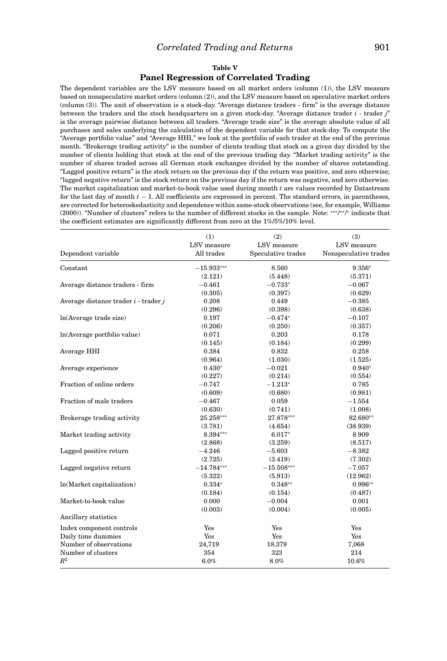# *Correlated Trading and Returns* 901

# **Table V Panel Regression of Correlated Trading**

The dependent variables are the LSV measure based on all market orders (column (1)), the LSV measure based on nonspeculative market orders (column (2)), and the LSV measure based on speculative market orders (column (3)). The unit of observation is a stock-day. "Average distance traders - firm" is the average distance between the traders and the stock headquarters on a given stock-day. "Average distance trader *i* - trader *j*" is the average pairwise distance between all traders. "Average trade size" is the average absolute value of all purchases and sales underlying the calculation of the dependent variable for that stock-day. To compute the "Average portfolio value" and "Average HHI," we look at the portfolio of each trader at the end of the previous month. "Brokerage trading activity" is the number of clients trading that stock on a given day divided by the number of clients holding that stock at the end of the previous trading day. "Market trading activity" is the number of shares traded across all German stock exchanges divided by the number of shares outstanding. "Lagged positive return" is the stock return on the previous day if the return was positive, and zero otherwise; "lagged negative return" is the stock return on the previous day if the return was negative, and zero otherwise. The market capitalization and market-to-book value used during month *t* are values recorded by Datastream for the last day of month *t* − 1. All coefficients are expressed in percent. The standard errors, in parentheses, are corrected for heteroskedasticity and dependence within same-stock observations (see, for example, Williams (2000)). "Number of clusters" refers to the number of different stocks in the sample. Note: \*\*\*/\*\*/\* indicate that the coefficient estimates are significantly different from zero at the 1%/5%/10% level.

|                                          | (1)<br>LSV measure | (2)<br>LSV measure | (3)<br>LSV measure    |
|------------------------------------------|--------------------|--------------------|-----------------------|
| Dependent variable                       | All trades         | Speculative trades | Nonspeculative trades |
| Constant                                 | $-15.933***$       | 8.560              | 9.356*                |
|                                          | (2.121)            | (5.448)            | (5.371)               |
| Average distance traders - firm          | $-0.461$           | $-0.733*$          | $-0.067$              |
|                                          | (0.305)            | (0.397)            | (0.629)               |
| Average distance trader $i$ - trader $j$ | 0.208              | 0.449              | $-0.385$              |
|                                          | (0.296)            | (0.398)            | (0.638)               |
| ln(Average trade size)                   | 0.197              | $-0.474*$          | $-0.107$              |
|                                          | (0.206)            | (0.250)            | (0.357)               |
| ln(Average portfolio value)              | 0.071              | 0.203              | 0.178                 |
|                                          | (0.145)            | (0.184)            | (0.299)               |
| Average HHI                              | 0.384              | 0.832              | 0.258                 |
|                                          | (0.964)            | (1.030)            | (1.525)               |
| Average experience                       | $0.430*$           | $-0.021$           | $0.940*$              |
|                                          | (0.227)            | (0.214)            | (0.554)               |
| Fraction of online orders                | $-0.747$           | $-1.213*$          | 0.785                 |
|                                          | (0.609)            | (0.680)            | (0.981)               |
| Fraction of male traders                 | $-0.467$           | 0.059              | $-1.554$              |
|                                          | (0.630)            | (0.741)            | (1.008)               |
| Brokerage trading activity               | $25.258***$        | 27.878***          | 82.680**              |
|                                          | (3.781)            | (4.654)            | (38.939)              |
| Market trading activity                  | 8.394***           | $6.017*$           | 8.909                 |
|                                          | (2.868)            | (3.259)            | (8.517)               |
| Lagged positive return                   | $-4.246$           | $-5.603$           | $-8.382$              |
|                                          | (2.725)            | (3.419)            | (7.302)               |
| Lagged negative return                   | $-14.784***$       | $-15.508***$       | $-7.057$              |
|                                          | (5.322)            | (5.913)            | (12.962)              |
| ln(Market capitalization)                | $0.334*$           | $0.348**$          | $0.996**$             |
|                                          | (0.184)            | (0.154)            | (0.487)               |
| Market-to-book value                     | 0.000              | $-0.004$           | 0.001                 |
|                                          | (0.003)            | (0.004)            | (0.005)               |
| Ancillary statistics                     |                    |                    |                       |
| Index component controls                 | Yes                | Yes                | Yes                   |
| Daily time dummies                       | Yes                | Yes                | Yes                   |
| Number of observations                   | 24,719             | 18,379             | 7,068                 |
| Number of clusters                       | 354                | 323                | 214                   |
| $\mathbb{R}^2$                           | 6.0%               | $8.0\%$            | 10.6%                 |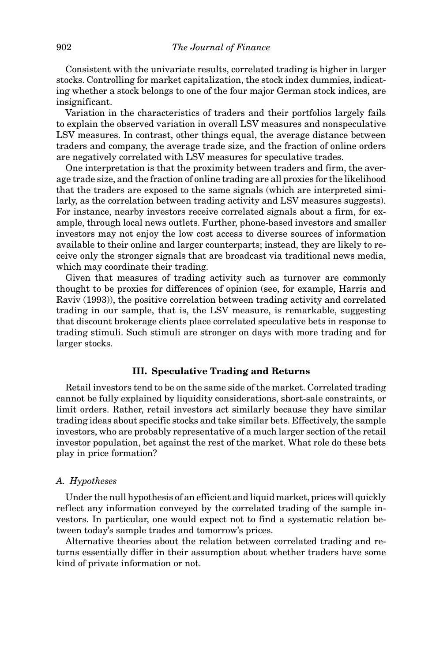Consistent with the univariate results, correlated trading is higher in larger stocks. Controlling for market capitalization, the stock index dummies, indicating whether a stock belongs to one of the four major German stock indices, are insignificant.

Variation in the characteristics of traders and their portfolios largely fails to explain the observed variation in overall LSV measures and nonspeculative LSV measures. In contrast, other things equal, the average distance between traders and company, the average trade size, and the fraction of online orders are negatively correlated with LSV measures for speculative trades.

One interpretation is that the proximity between traders and firm, the average trade size, and the fraction of online trading are all proxies for the likelihood that the traders are exposed to the same signals (which are interpreted similarly, as the correlation between trading activity and LSV measures suggests). For instance, nearby investors receive correlated signals about a firm, for example, through local news outlets. Further, phone-based investors and smaller investors may not enjoy the low cost access to diverse sources of information available to their online and larger counterparts; instead, they are likely to receive only the stronger signals that are broadcast via traditional news media, which may coordinate their trading.

Given that measures of trading activity such as turnover are commonly thought to be proxies for differences of opinion (see, for example, Harris and Raviv (1993)), the positive correlation between trading activity and correlated trading in our sample, that is, the LSV measure, is remarkable, suggesting that discount brokerage clients place correlated speculative bets in response to trading stimuli. Such stimuli are stronger on days with more trading and for larger stocks.

## **III. Speculative Trading and Returns**

Retail investors tend to be on the same side of the market. Correlated trading cannot be fully explained by liquidity considerations, short-sale constraints, or limit orders. Rather, retail investors act similarly because they have similar trading ideas about specific stocks and take similar bets. Effectively, the sample investors, who are probably representative of a much larger section of the retail investor population, bet against the rest of the market. What role do these bets play in price formation?

### *A. Hypotheses*

Under the null hypothesis of an efficient and liquid market, prices will quickly reflect any information conveyed by the correlated trading of the sample investors. In particular, one would expect not to find a systematic relation between today's sample trades and tomorrow's prices.

Alternative theories about the relation between correlated trading and returns essentially differ in their assumption about whether traders have some kind of private information or not.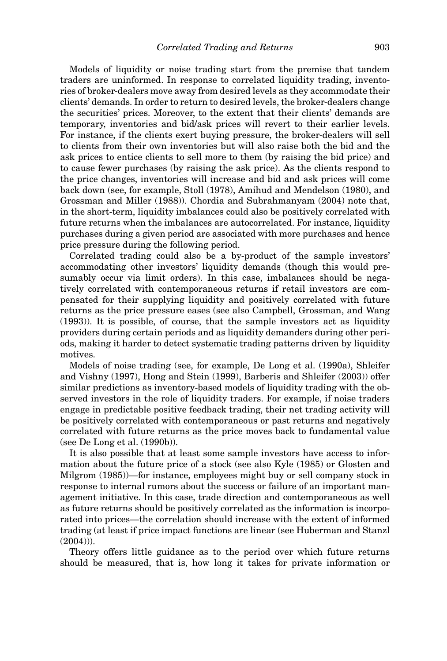Models of liquidity or noise trading start from the premise that tandem traders are uninformed. In response to correlated liquidity trading, inventories of broker-dealers move away from desired levels as they accommodate their clients' demands. In order to return to desired levels, the broker-dealers change the securities' prices. Moreover, to the extent that their clients' demands are temporary, inventories and bid/ask prices will revert to their earlier levels. For instance, if the clients exert buying pressure, the broker-dealers will sell to clients from their own inventories but will also raise both the bid and the ask prices to entice clients to sell more to them (by raising the bid price) and to cause fewer purchases (by raising the ask price). As the clients respond to the price changes, inventories will increase and bid and ask prices will come back down (see, for example, Stoll (1978), Amihud and Mendelson (1980), and Grossman and Miller (1988)). Chordia and Subrahmanyam (2004) note that, in the short-term, liquidity imbalances could also be positively correlated with future returns when the imbalances are autocorrelated. For instance, liquidity purchases during a given period are associated with more purchases and hence price pressure during the following period.

Correlated trading could also be a by-product of the sample investors' accommodating other investors' liquidity demands (though this would presumably occur via limit orders). In this case, imbalances should be negatively correlated with contemporaneous returns if retail investors are compensated for their supplying liquidity and positively correlated with future returns as the price pressure eases (see also Campbell, Grossman, and Wang (1993)). It is possible, of course, that the sample investors act as liquidity providers during certain periods and as liquidity demanders during other periods, making it harder to detect systematic trading patterns driven by liquidity motives.

Models of noise trading (see, for example, De Long et al. (1990a), Shleifer and Vishny (1997), Hong and Stein (1999), Barberis and Shleifer (2003)) offer similar predictions as inventory-based models of liquidity trading with the observed investors in the role of liquidity traders. For example, if noise traders engage in predictable positive feedback trading, their net trading activity will be positively correlated with contemporaneous or past returns and negatively correlated with future returns as the price moves back to fundamental value (see De Long et al. (1990b)).

It is also possible that at least some sample investors have access to information about the future price of a stock (see also Kyle (1985) or Glosten and Milgrom (1985))—for instance, employees might buy or sell company stock in response to internal rumors about the success or failure of an important management initiative. In this case, trade direction and contemporaneous as well as future returns should be positively correlated as the information is incorporated into prices—the correlation should increase with the extent of informed trading (at least if price impact functions are linear (see Huberman and Stanzl  $(2004))$ .

Theory offers little guidance as to the period over which future returns should be measured, that is, how long it takes for private information or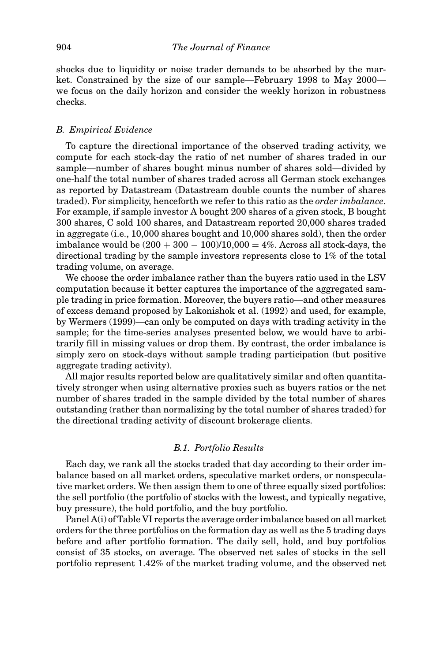shocks due to liquidity or noise trader demands to be absorbed by the market. Constrained by the size of our sample—February 1998 to May 2000 we focus on the daily horizon and consider the weekly horizon in robustness checks.

#### *B. Empirical Evidence*

To capture the directional importance of the observed trading activity, we compute for each stock-day the ratio of net number of shares traded in our sample—number of shares bought minus number of shares sold—divided by one-half the total number of shares traded across all German stock exchanges as reported by Datastream (Datastream double counts the number of shares traded). For simplicity, henceforth we refer to this ratio as the *order imbalance*. For example, if sample investor A bought 200 shares of a given stock, B bought 300 shares, C sold 100 shares, and Datastream reported 20,000 shares traded in aggregate (i.e., 10,000 shares bought and 10,000 shares sold), then the order imbalance would be  $(200 + 300 - 100)/10,000 = 4\%$ . Across all stock-days, the directional trading by the sample investors represents close to 1% of the total trading volume, on average.

We choose the order imbalance rather than the buyers ratio used in the LSV computation because it better captures the importance of the aggregated sample trading in price formation. Moreover, the buyers ratio—and other measures of excess demand proposed by Lakonishok et al. (1992) and used, for example, by Wermers (1999)—can only be computed on days with trading activity in the sample; for the time-series analyses presented below, we would have to arbitrarily fill in missing values or drop them. By contrast, the order imbalance is simply zero on stock-days without sample trading participation (but positive aggregate trading activity).

All major results reported below are qualitatively similar and often quantitatively stronger when using alternative proxies such as buyers ratios or the net number of shares traded in the sample divided by the total number of shares outstanding (rather than normalizing by the total number of shares traded) for the directional trading activity of discount brokerage clients.

# *B.1. Portfolio Results*

Each day, we rank all the stocks traded that day according to their order imbalance based on all market orders, speculative market orders, or nonspeculative market orders. We then assign them to one of three equally sized portfolios: the sell portfolio (the portfolio of stocks with the lowest, and typically negative, buy pressure), the hold portfolio, and the buy portfolio.

Panel A(i) of Table VI reports the average order imbalance based on all market orders for the three portfolios on the formation day as well as the 5 trading days before and after portfolio formation. The daily sell, hold, and buy portfolios consist of 35 stocks, on average. The observed net sales of stocks in the sell portfolio represent 1.42% of the market trading volume, and the observed net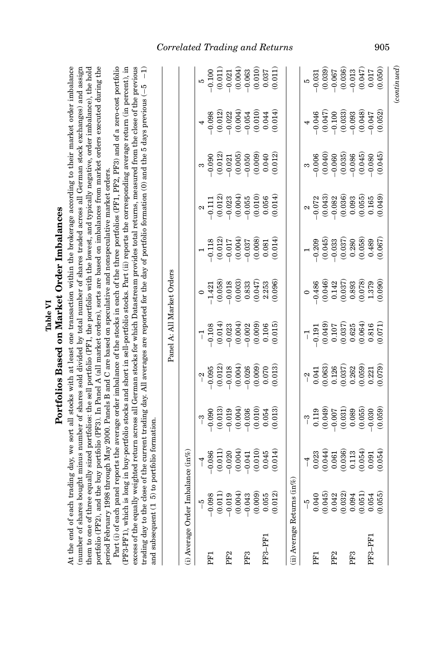| ر<br>اسل |  |
|----------|--|
|          |  |
|          |  |
|          |  |
|          |  |

mces

number of shares bought minus number of shares sold divided by total number of shares traded across all German stock exchanges) and assign them to one of three equally sized portfolios: the sell portfolio (PF1, the portfolio with the lowest, and typically negative, order imbalance), the hold portfolio (PF2), and the buy portfolio (PF3). In Panel A (all market orders), sorts are based on imbalances from market orders executed during the At the end of each trading day, we sort all stocks with at least one transaction within the brokerage according to their market order imbalance At the end of each trading day, we sort all stocks with at least one transaction within the brokerage according to their market order imbalance (number of shares bought minus number of shares sold divided by total number of shares traded across all German stock exchanges) and assign them to one of three equally sized portfolios: the sell portfolio (PF1, the portfolio with the lowest, and typically negative, order imbalance), the hold portfolio (PF2), and the buy portfolio (PF3). In Panel A (all market orders), sorts are based on imbalances from market orders executed during the period February 1998 through May 2000. Panels B and C are based on speculative and nonspeculative market orders. period February 1998 through May 2000. Panels B and C are based on speculative and nonspeculative market orders.

Part (i) of each panel reports the average order imbalance of the stocks in each of the three portfolios (PF1, PF2, PF3) and of a zero-cost portfolio (PF3-PF1), which is long in buy-portfolio stocks and short in sell-portfolio stocks. Part (ii) reports the corresponding average return (in percent), in Part (i) of each panel reports the average order imbalance of the stocks in each of the three portfolios (PF1, PF2, PF3) and of a zero-cost portfolio (PF3-PF1), which is long in buy-portfolio stocks and short in sell-portfolio stocks. Part (ii) reports the corresponding average return (in percent), in excess of the equally weighted return across all German stocks for which Datastream provides total returns, measured from the close of the previous excess of the equally weighted return across all German stocks for which Datastream provides total returns, measured from the close of the previous trading day to the close of the current trading day. All averages are reported for the day of portfolio formation (0) and the 5 days previous  $(-5 - 1)$ trading day to the close of the current trading day. All averages are reported for the day of portfolio formation (0) and the 5 days previous ( and subsequent (1 5) to portfolio formation. and subsequent (1 5) to portfolio formation.

|                 |                                                                                                          |                                                                                                                                         |                                                                                                                               |                                                                                                                                       | Panel A: All Market Orders                                                                                                  |                                                                                                                                |                                                                                                                                |                                                                                                                                 |                                                                                                                           |                                                                                                                          |                                                                                                                         |
|-----------------|----------------------------------------------------------------------------------------------------------|-----------------------------------------------------------------------------------------------------------------------------------------|-------------------------------------------------------------------------------------------------------------------------------|---------------------------------------------------------------------------------------------------------------------------------------|-----------------------------------------------------------------------------------------------------------------------------|--------------------------------------------------------------------------------------------------------------------------------|--------------------------------------------------------------------------------------------------------------------------------|---------------------------------------------------------------------------------------------------------------------------------|---------------------------------------------------------------------------------------------------------------------------|--------------------------------------------------------------------------------------------------------------------------|-------------------------------------------------------------------------------------------------------------------------|
|                 | (i) Average Order Imbalan                                                                                | ce $(\text{in}\%)$                                                                                                                      |                                                                                                                               |                                                                                                                                       |                                                                                                                             |                                                                                                                                |                                                                                                                                |                                                                                                                                 |                                                                                                                           |                                                                                                                          |                                                                                                                         |
|                 | $\frac{5}{1}$                                                                                            |                                                                                                                                         |                                                                                                                               |                                                                                                                                       |                                                                                                                             |                                                                                                                                |                                                                                                                                |                                                                                                                                 |                                                                                                                           |                                                                                                                          |                                                                                                                         |
| EE              | $\begin{array}{r} -0.098 \\ -0.011 \\ -0.019 \\ -0.004 \\ 0.0004 \\ 0.009 \\ 0.005 \\ 0.012 \end{array}$ | $\begin{array}{r} -4 \\ -0.086 \\ -0.086 \\ (0.011) \\ -0.020 \\ (0.004) \\ 0.010 \\ 0.010 \\ 0.045 \\ (0.014) \\ 0.045 \\ \end{array}$ | $\begin{array}{r} -3 \\ -0.090 \\ \hline (0.013) \\ 0.019 \\ -0.004 \\ 0.004 \\ 0.005 \\ 0.010 \\ 0.054 \\ 0.013 \end{array}$ | $\begin{array}{r} -2 \\ -0.095 \\ -0.012 \\ 0.012 \\ 0.013 \\ 0.004 \\ 0.009 \\ 0.009 \\ 0.070 \\ 0.013 \end{array}$                  |                                                                                                                             | $\begin{array}{c} 0 \\ -1.421 \\ (0.058) \\ (0.058) \\ (0.003) \\ (0.003) \\ 0.833 \\ (0.047) \\ 2.253 \\ (0.096) \end{array}$ | $\begin{bmatrix} 1 & 1 \ -0.118 & 0 \ 0.012 & 0 \ 0.004 & 0.037 \ 0.004 & 0.037 \ 0.003 & 0.081 \ 0.000 & 0.001 \end{bmatrix}$ | $\begin{array}{c} 2 \\ -0.111 \\ 0.012) \\ 0.023 \\ -0.023 \\ 0.004) \\ 0.005 \\ 0.010 \\ 0.056 \\ 0.014) \end{array}$          | $\begin{array}{c} 3 \\ -0.090 \\ (0.012) \\ (0.012) \\ -0.065 \\ (0.005) \\ (0.009) \\ (0.0040) \\ (0.012) \end{array}$   | $\begin{array}{c} 4 \\ -0.098 \\ -0.012) \\ 0.012) \\ -0.022 \\ -0.064 \\ 0.010) \\ 0.014 \\ 0.014 \\ 0.014 \end{array}$ |                                                                                                                         |
|                 |                                                                                                          |                                                                                                                                         |                                                                                                                               |                                                                                                                                       |                                                                                                                             |                                                                                                                                |                                                                                                                                |                                                                                                                                 |                                                                                                                           |                                                                                                                          |                                                                                                                         |
| PF <sub>2</sub> |                                                                                                          |                                                                                                                                         |                                                                                                                               |                                                                                                                                       |                                                                                                                             |                                                                                                                                |                                                                                                                                |                                                                                                                                 |                                                                                                                           |                                                                                                                          |                                                                                                                         |
|                 |                                                                                                          |                                                                                                                                         |                                                                                                                               |                                                                                                                                       |                                                                                                                             |                                                                                                                                |                                                                                                                                |                                                                                                                                 |                                                                                                                           |                                                                                                                          |                                                                                                                         |
| PF3             |                                                                                                          |                                                                                                                                         |                                                                                                                               |                                                                                                                                       |                                                                                                                             |                                                                                                                                |                                                                                                                                |                                                                                                                                 |                                                                                                                           |                                                                                                                          |                                                                                                                         |
|                 |                                                                                                          |                                                                                                                                         |                                                                                                                               |                                                                                                                                       |                                                                                                                             |                                                                                                                                |                                                                                                                                |                                                                                                                                 |                                                                                                                           |                                                                                                                          |                                                                                                                         |
| PF3-PF1         |                                                                                                          |                                                                                                                                         |                                                                                                                               |                                                                                                                                       |                                                                                                                             |                                                                                                                                |                                                                                                                                |                                                                                                                                 |                                                                                                                           |                                                                                                                          |                                                                                                                         |
|                 |                                                                                                          |                                                                                                                                         |                                                                                                                               |                                                                                                                                       | $\begin{array}{r} -1 \\ -0.108 \\ -0.014) \\ 0.014) \\ -0.023 \\ -0.004) \\ 0.0009 \\ 0.009 \\ 0.106 \\ 0.015) \end{array}$ |                                                                                                                                |                                                                                                                                |                                                                                                                                 |                                                                                                                           |                                                                                                                          | $\begin{bmatrix} 5 \ -0.100 \ 0.011 \ 0.021 \ 0.004 \ 0.004 \ 0.0037 \ 0.0100 \ 0.0100 \ 0.0100 \ 0.0101 \end{bmatrix}$ |
|                 |                                                                                                          |                                                                                                                                         |                                                                                                                               |                                                                                                                                       |                                                                                                                             |                                                                                                                                |                                                                                                                                |                                                                                                                                 |                                                                                                                           |                                                                                                                          |                                                                                                                         |
|                 | (ii) Average Returns $\langle \text{in} \% \rangle$                                                      |                                                                                                                                         |                                                                                                                               |                                                                                                                                       |                                                                                                                             |                                                                                                                                |                                                                                                                                |                                                                                                                                 |                                                                                                                           |                                                                                                                          |                                                                                                                         |
|                 | $\frac{5}{1}$                                                                                            |                                                                                                                                         |                                                                                                                               |                                                                                                                                       |                                                                                                                             |                                                                                                                                |                                                                                                                                |                                                                                                                                 |                                                                                                                           |                                                                                                                          |                                                                                                                         |
| E               |                                                                                                          | $\begin{array}{r} -4 \\ -0.023 \\ 0.044) \\ 0.061 \\ 0.061 \\ 0.036) \\ 0.113 \\ 0.054) \\ 0.036) \\ 0.036) \end{array}$                | $\begin{array}{r} -3 \\ -3 \\ 0.119 \\ 0.049) \\ 0.007 \\ 0.031) \\ 0.039 \\ 0.055) \\ 0.030 \\ 0.030 \\ 0.059) \end{array}$  | $\begin{array}{r} -2 \\ 0.041 \\ 0.063) \\ 0.037 \\ 0.126 \\ 0.037 \\ 0.037 \\ 0.059 \\ 0.262 \\ 0.059 \\ 0.037 \\ 0.009 \end{array}$ | $\begin{array}{r} -1 \\ -0.191 \\ 0.049) \\ 0.107 \\ 0.037) \\ 0.625 \\ 0.064) \\ 0.084 \\ 0.084 \\ 0.037 \end{array}$      | $\begin{array}{c} 0 \\ -0.486 \\ (0.046) \\ 0.142 \\ 0.037 \\ (0.037) \\ 0.033 \\ (0.078) \\ 1.379 \\ (0.090) \end{array}$     | $\begin{array}{c} 1 \\ -0.209 \\ (0.045) \\ (0.033 \\ -0.033 \\ (0.037) \\ (0.030) \\ (0.058) \\ (0.067) \end{array}$          | $\begin{array}{c} 2 \\ -0.072 \\ -0.043 \\ 0.043 \\ 0.036 \\ 0.036 \\ 0.055 \\ 0.055 \\ 0.055 \\ 0.049 \\ 0.049 \\ \end{array}$ | $\begin{array}{r} 3 \\ -0.006 \\ -0.040) \\ (0.040) \\ (0.035) \\ (0.035) \\ (0.036) \\ -0.086 \\ (0.045) \\ \end{array}$ | $\begin{array}{c} 4 \\ +0.046 \\ -0.047 \\ (0.047) \\ -0.100 \\ -0.033 \\ 0.033 \\ +0.048 \\ \end{array}$                | $\begin{bmatrix} 5 \ -0.031 \ 0.039 \ 0.067 \ 0.0067 \ 0.0067 \ 0.0007 \ 0.0007 \ 0.013 \ 0.011 \ 0.011 \end{bmatrix}$  |
|                 | $\begin{array}{l} 0.040 \\ 0.045) \\ 0.042 \\ 0.032) \\ 0.034 \\ 0.054 \end{array}$                      |                                                                                                                                         |                                                                                                                               |                                                                                                                                       |                                                                                                                             |                                                                                                                                |                                                                                                                                |                                                                                                                                 |                                                                                                                           |                                                                                                                          |                                                                                                                         |
| PF <sub>2</sub> |                                                                                                          |                                                                                                                                         |                                                                                                                               |                                                                                                                                       |                                                                                                                             |                                                                                                                                |                                                                                                                                |                                                                                                                                 |                                                                                                                           |                                                                                                                          |                                                                                                                         |
|                 |                                                                                                          |                                                                                                                                         |                                                                                                                               |                                                                                                                                       |                                                                                                                             |                                                                                                                                |                                                                                                                                |                                                                                                                                 |                                                                                                                           |                                                                                                                          |                                                                                                                         |
| PF3             |                                                                                                          |                                                                                                                                         |                                                                                                                               |                                                                                                                                       |                                                                                                                             |                                                                                                                                |                                                                                                                                |                                                                                                                                 |                                                                                                                           |                                                                                                                          |                                                                                                                         |
|                 |                                                                                                          |                                                                                                                                         |                                                                                                                               |                                                                                                                                       |                                                                                                                             |                                                                                                                                |                                                                                                                                |                                                                                                                                 |                                                                                                                           |                                                                                                                          |                                                                                                                         |
| PF3-PF1         |                                                                                                          |                                                                                                                                         |                                                                                                                               |                                                                                                                                       |                                                                                                                             |                                                                                                                                |                                                                                                                                |                                                                                                                                 |                                                                                                                           |                                                                                                                          |                                                                                                                         |
|                 | 0.055                                                                                                    |                                                                                                                                         |                                                                                                                               |                                                                                                                                       |                                                                                                                             |                                                                                                                                |                                                                                                                                |                                                                                                                                 |                                                                                                                           |                                                                                                                          |                                                                                                                         |
|                 |                                                                                                          |                                                                                                                                         |                                                                                                                               |                                                                                                                                       |                                                                                                                             |                                                                                                                                |                                                                                                                                |                                                                                                                                 |                                                                                                                           |                                                                                                                          |                                                                                                                         |

# *Correlated Trading and Returns* 905

(*continued*)

 $_{(continued)}$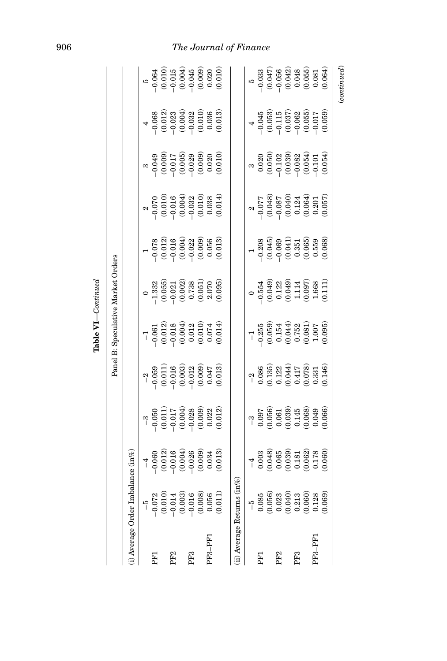|                 |                                                                                                        |                                                                                                                                 |                                                                                                                |                                                                                                                                |                                                                                                                                        | Panel B: Speculative Market Orders                                                                                         |                                                                                                                       |                                                                                                                                                                                                                                                                                                         |                                                                                                                                                                                                                                 |                                                                                                                                    |                                                                                                              |
|-----------------|--------------------------------------------------------------------------------------------------------|---------------------------------------------------------------------------------------------------------------------------------|----------------------------------------------------------------------------------------------------------------|--------------------------------------------------------------------------------------------------------------------------------|----------------------------------------------------------------------------------------------------------------------------------------|----------------------------------------------------------------------------------------------------------------------------|-----------------------------------------------------------------------------------------------------------------------|---------------------------------------------------------------------------------------------------------------------------------------------------------------------------------------------------------------------------------------------------------------------------------------------------------|---------------------------------------------------------------------------------------------------------------------------------------------------------------------------------------------------------------------------------|------------------------------------------------------------------------------------------------------------------------------------|--------------------------------------------------------------------------------------------------------------|
|                 | (i) Average Order Imbalance (in%                                                                       |                                                                                                                                 |                                                                                                                |                                                                                                                                |                                                                                                                                        |                                                                                                                            |                                                                                                                       |                                                                                                                                                                                                                                                                                                         |                                                                                                                                                                                                                                 |                                                                                                                                    |                                                                                                              |
|                 | ပြ                                                                                                     |                                                                                                                                 |                                                                                                                |                                                                                                                                |                                                                                                                                        |                                                                                                                            |                                                                                                                       |                                                                                                                                                                                                                                                                                                         |                                                                                                                                                                                                                                 |                                                                                                                                    |                                                                                                              |
| E               |                                                                                                        | $\begin{array}{r} -4 \\ -0.060 \\ \hline (0.012) \\ 0.016 \\ \hline (0.004) \\ 0.006 \\ \hline (0.009) \\ 0.034 \\ \end{array}$ | $\begin{array}{r} -3 \ -9.050 \ -9.050 \ -9.011 \ 0.011 \ 0.004 \ 0.008 \ 0.022 \ 0.0000 \ 0.0022 \end{array}$ | $\begin{array}{r} -2 \\ -0.059 \\ (0.011) \\ (0.010) \\ (0.003) \\ (0.003) \\ (0.009) \\ (0.047) \\ (0.013) \end{array}$       | $\begin{array}{r} -1 \\ -0.061 \\ -0.012 \\ 0.012 \\ 0.004 \\ 0.004 \\ 0.012 \\ 0.012 \\ 0.014 \\ 0.014 \\ 0.014 \\ 0.014 \end{array}$ | $\begin{array}{c} 0 \\ -1.332 \\ (0.055) \\ (0.0021 \\ (0.0020 \\ (0.0010 \\ (0.051) \\ (0.051) \\ (0.055) \\ \end{array}$ |                                                                                                                       | $\begin{array}{c} 2 \\ -0.070 \\ -0.010 \\ 0.010 \\ 0.004 \\ 0.003 \\ 0.033 \\ 0.038 \\ 0.038 \\ 0.038 \\ 0.004 \\ 0.010 \\ 0.004 \\ 0.004 \\ 0.004 \\ 0.004 \\ 0.004 \\ 0.004 \\ 0.004 \\ 0.004 \\ 0.004 \\ 0.004 \\ 0.004 \\ 0.004 \\ 0.004 \\ 0.004 \\ 0.004 \\ 0.004 \\ 0.004 \\ 0.004 \\ 0.004 \\$ | $\begin{bmatrix} 3 & 3 \ -0.049 & 0 \ 0.0005 & 0 \ 0 & 0.017 & 0 \ 0 & 0.005 & 0 \ 0 & 0.009 & 0 \ 0 & 0.009 & 0 \ 0 & 0.009 & 0 \ 0 & 0 & 0 & 0 \ 0 & 0 & 0 & 0 \ 0 & 0 & 0 & 0 \ 0 & 0 & 0 & 0 \ 0 & 0 & 0 & 0 \end{bmatrix}$ | $\begin{array}{c} 4 \\ -0.068 \\ -0.012 \\ 0.0123 \\ -0.023 \\ 0.004) \\ 0.0032 \\ -0.032 \\ 0.010 \\ 0.036 \\ 0.013) \end{array}$ | $-0.064$<br>$-0.010$<br>$(0.010)$<br>$-0.0045$<br>$-0.0045$<br>$-0.0045$<br>$-0.009$<br>$-0.009$<br>$-0.009$ |
|                 |                                                                                                        |                                                                                                                                 |                                                                                                                |                                                                                                                                |                                                                                                                                        |                                                                                                                            |                                                                                                                       |                                                                                                                                                                                                                                                                                                         |                                                                                                                                                                                                                                 |                                                                                                                                    |                                                                                                              |
| PF <sub>2</sub> | $\begin{array}{r} -0.072 \\ (0.010) \\ -0.014 \\ (0.003) \\ (0.003) \\ (0.008) \\ (0.008) \end{array}$ |                                                                                                                                 |                                                                                                                |                                                                                                                                |                                                                                                                                        |                                                                                                                            |                                                                                                                       |                                                                                                                                                                                                                                                                                                         |                                                                                                                                                                                                                                 |                                                                                                                                    |                                                                                                              |
|                 |                                                                                                        |                                                                                                                                 |                                                                                                                |                                                                                                                                |                                                                                                                                        |                                                                                                                            |                                                                                                                       |                                                                                                                                                                                                                                                                                                         |                                                                                                                                                                                                                                 |                                                                                                                                    |                                                                                                              |
| PF3             |                                                                                                        |                                                                                                                                 |                                                                                                                |                                                                                                                                |                                                                                                                                        |                                                                                                                            |                                                                                                                       |                                                                                                                                                                                                                                                                                                         |                                                                                                                                                                                                                                 |                                                                                                                                    |                                                                                                              |
|                 |                                                                                                        |                                                                                                                                 |                                                                                                                |                                                                                                                                |                                                                                                                                        |                                                                                                                            |                                                                                                                       |                                                                                                                                                                                                                                                                                                         |                                                                                                                                                                                                                                 |                                                                                                                                    |                                                                                                              |
| PF3-PF          |                                                                                                        |                                                                                                                                 |                                                                                                                |                                                                                                                                |                                                                                                                                        |                                                                                                                            |                                                                                                                       |                                                                                                                                                                                                                                                                                                         |                                                                                                                                                                                                                                 |                                                                                                                                    |                                                                                                              |
|                 | (0.011)                                                                                                |                                                                                                                                 |                                                                                                                |                                                                                                                                |                                                                                                                                        |                                                                                                                            |                                                                                                                       |                                                                                                                                                                                                                                                                                                         |                                                                                                                                                                                                                                 |                                                                                                                                    |                                                                                                              |
|                 |                                                                                                        |                                                                                                                                 |                                                                                                                |                                                                                                                                |                                                                                                                                        |                                                                                                                            |                                                                                                                       |                                                                                                                                                                                                                                                                                                         |                                                                                                                                                                                                                                 |                                                                                                                                    |                                                                                                              |
|                 | (ii) Average Returns (in%)                                                                             |                                                                                                                                 |                                                                                                                |                                                                                                                                |                                                                                                                                        |                                                                                                                            |                                                                                                                       |                                                                                                                                                                                                                                                                                                         |                                                                                                                                                                                                                                 |                                                                                                                                    |                                                                                                              |
|                 |                                                                                                        |                                                                                                                                 |                                                                                                                |                                                                                                                                |                                                                                                                                        |                                                                                                                            |                                                                                                                       |                                                                                                                                                                                                                                                                                                         |                                                                                                                                                                                                                                 |                                                                                                                                    |                                                                                                              |
| 집               |                                                                                                        |                                                                                                                                 | $\begin{array}{r} -3 \\ 0.097 \\ 0.056) \\ 0.061 \\ 0.061 \\ 0.039) \\ 0.145 \\ 0.049 \\ 0.000 \\ \end{array}$ | $\begin{array}{r} -2 \\ 0.086 \\ 0.135 \\ 0.122 \\ 0.044 \\ 0.044 \\ 0.078 \\ 0.331 \\ 0.331 \\ 0.331 \\ 0.031 \\ \end{array}$ | $\begin{array}{r} -1 \\ -0.255 \\ (0.059) \\ 0.154 \\ (0.044) \\ (0.044) \\ 0.752 \\ 1.007 \\ 1.007 \\ \end{array}$                    | $\begin{array}{c} 0 \\ -0.554 \\ (0.049) \\ 0.122 \\ (0.049) \\ (0.049) \\ 1.14 \\ (0.097) \\ 1.668 \\ 1.668 \end{array}$  | $\begin{array}{c} 1 \\ -0.208 \\ -0.045 \\ 0.069 \\ -0.069 \\ 0.041 \\ -0.065 \\ 0.065 \\ 0.068 \\ 0.068 \end{array}$ | $\begin{array}{c} 2 \\ -0.077 \\ (0.048) \\ (0.048) \\ -0.087 \\ (0.040) \\ 0.037 \\ (0.040) \\ (0.057) \\ (0.064) \\ 0.201 \\ \end{array}$                                                                                                                                                             | $\begin{array}{c} 3 \\ 0.020 \\ (0.050) \\ (0.039) \\ (0.039) \\ (0.039) \\ (0.054) \\ (0.054) \\ (0.054) \end{array}$                                                                                                          | $\begin{array}{r} 4 \ -0.045 \ (0.053) \ 0.0115 \ -0.037 \ -0.062 \ 0.055 \ 0.0055 \ 0.017 \ -0.0017 \end{array}$                  |                                                                                                              |
|                 | $\begin{array}{c} 0.085 \\ 0.056) \\ 0.023 \\ 0.040) \\ 0.213 \\ 0.060) \\ 0.060) \end{array}$         |                                                                                                                                 |                                                                                                                |                                                                                                                                |                                                                                                                                        |                                                                                                                            |                                                                                                                       |                                                                                                                                                                                                                                                                                                         |                                                                                                                                                                                                                                 |                                                                                                                                    |                                                                                                              |
| PF <sub>2</sub> |                                                                                                        |                                                                                                                                 |                                                                                                                |                                                                                                                                |                                                                                                                                        |                                                                                                                            |                                                                                                                       |                                                                                                                                                                                                                                                                                                         |                                                                                                                                                                                                                                 |                                                                                                                                    |                                                                                                              |
|                 |                                                                                                        |                                                                                                                                 |                                                                                                                |                                                                                                                                |                                                                                                                                        |                                                                                                                            |                                                                                                                       |                                                                                                                                                                                                                                                                                                         |                                                                                                                                                                                                                                 |                                                                                                                                    |                                                                                                              |
| PF3             |                                                                                                        |                                                                                                                                 |                                                                                                                |                                                                                                                                |                                                                                                                                        |                                                                                                                            |                                                                                                                       |                                                                                                                                                                                                                                                                                                         |                                                                                                                                                                                                                                 |                                                                                                                                    |                                                                                                              |
|                 |                                                                                                        |                                                                                                                                 |                                                                                                                |                                                                                                                                |                                                                                                                                        |                                                                                                                            |                                                                                                                       |                                                                                                                                                                                                                                                                                                         |                                                                                                                                                                                                                                 |                                                                                                                                    |                                                                                                              |
| PF3-PF1         |                                                                                                        |                                                                                                                                 |                                                                                                                |                                                                                                                                |                                                                                                                                        |                                                                                                                            |                                                                                                                       |                                                                                                                                                                                                                                                                                                         |                                                                                                                                                                                                                                 |                                                                                                                                    |                                                                                                              |
|                 | 0.069                                                                                                  | $\begin{array}{r} -4 \\ -0.003 \\ 0.048) \\ 0.065 \\ 0.065 \\ 0.039) \\ 0.181 \\ 0.178 \\ 0.062) \\ 0.178 \end{array}$          |                                                                                                                |                                                                                                                                |                                                                                                                                        |                                                                                                                            |                                                                                                                       |                                                                                                                                                                                                                                                                                                         |                                                                                                                                                                                                                                 |                                                                                                                                    | $\begin{array}{r} 5 \ -0.033 \ 0.047 \ 0.042 \ 0.048 \ 0.048 \ 0.0055 \ 0.0000 \ 0.0001 \end{array}$         |
|                 |                                                                                                        |                                                                                                                                 |                                                                                                                |                                                                                                                                |                                                                                                                                        |                                                                                                                            |                                                                                                                       |                                                                                                                                                                                                                                                                                                         |                                                                                                                                                                                                                                 |                                                                                                                                    |                                                                                                              |

 ${\bf Table ~VI{\rm}--} Conimize$   $d$ **Table VI***—Continued*

# 906 *The Journal of Finance*

 $\left( contained\right)$ (*continued*)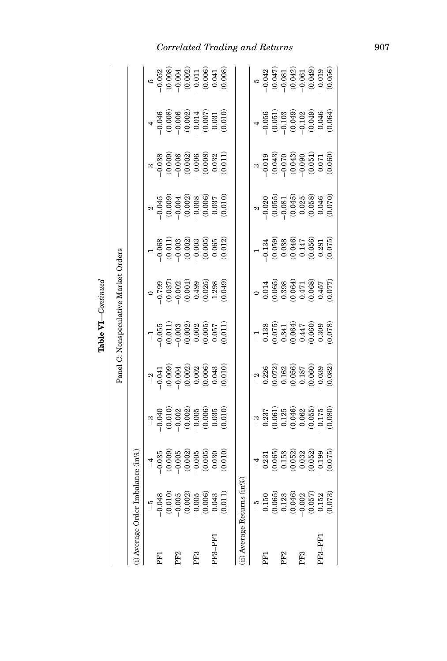|                 |                                                                                                                  |                                                                                                                                                                                                                                                                                                        |                                                                                                                                         |                                                                                                                            |                                                                                                                                          | Panel C: Nonspeculative Market Orders                                                                                                                                                                                                                                                                   |                                                                                                                                                                                                                                                                    |                                                                                                                                                        |                                                                                                                                |                                                                                                                    |                                                                                                                                                     |
|-----------------|------------------------------------------------------------------------------------------------------------------|--------------------------------------------------------------------------------------------------------------------------------------------------------------------------------------------------------------------------------------------------------------------------------------------------------|-----------------------------------------------------------------------------------------------------------------------------------------|----------------------------------------------------------------------------------------------------------------------------|------------------------------------------------------------------------------------------------------------------------------------------|---------------------------------------------------------------------------------------------------------------------------------------------------------------------------------------------------------------------------------------------------------------------------------------------------------|--------------------------------------------------------------------------------------------------------------------------------------------------------------------------------------------------------------------------------------------------------------------|--------------------------------------------------------------------------------------------------------------------------------------------------------|--------------------------------------------------------------------------------------------------------------------------------|--------------------------------------------------------------------------------------------------------------------|-----------------------------------------------------------------------------------------------------------------------------------------------------|
|                 | (i) Average Order Imbalan                                                                                        | $\cos (\mathrm{in} \%)$                                                                                                                                                                                                                                                                                |                                                                                                                                         |                                                                                                                            |                                                                                                                                          |                                                                                                                                                                                                                                                                                                         |                                                                                                                                                                                                                                                                    |                                                                                                                                                        |                                                                                                                                |                                                                                                                    |                                                                                                                                                     |
|                 |                                                                                                                  |                                                                                                                                                                                                                                                                                                        |                                                                                                                                         |                                                                                                                            |                                                                                                                                          |                                                                                                                                                                                                                                                                                                         |                                                                                                                                                                                                                                                                    |                                                                                                                                                        |                                                                                                                                |                                                                                                                    |                                                                                                                                                     |
| E               | $\begin{array}{r} -5 \\ -0.048 \\ (0.010) \\ (0.005) \\ (0.002) \\ (0.006) \\ (0.006) \\ (0.006) \\ \end{array}$ | $\begin{bmatrix} 1 \\ 4 \\ -0.035 \\ 0.009 \\ 0.000 \\ 0.000 \\ 0.005 \\ 0.005 \\ 0.005 \\ 0.005 \\ 0.000 \\ 0.000 \\ 0.000 \\ 0.000 \\ 0.010 \\ 0.010 \\ 0.010 \\ 0.010 \\ 0.010 \\ 0.010 \\ 0.010 \\ 0.010 \\ 0.010 \\ 0.010 \\ 0.010 \\ 0.010 \\ 0.010 \\ 0.010 \\ 0.010 \\ 0.010 \\ 0.010 \\ 0.01$ | $\begin{array}{r} -3 \\ -0.040 \\ 0.010) \\ 0.002 \\ 0.003 \\ 0.005 \\ 0.006 \\ 0.035 \\ 0.003 \\ 0.000 \\ 0.000 \\ 0.010) \end{array}$ | $\begin{array}{r} -2 \ -0.041 \ -0.009 \ 0.0002 \ 0.002 \ 0.0002 \ 0.0006 \ 0.0006 \ 0.0006 \ 0.0000 \ 0.0000 \end{array}$ | $\begin{array}{r} -1 \\ -0.055 \\ (0.011) \\ 0.003 \\ -0.002 \\ (0.002) \\ 0.005 \\ (0.057) \\ 0.057 \end{array}$                        | $\begin{array}{c} 0 \\ -0.799 \\ (0.037) \\ -0.002 \\ (0.001) \\ 0.002 \\ (0.025) \\ 0.029 \\ 1.298 \\ (0.049) \end{array}$                                                                                                                                                                             | $\begin{bmatrix} 1 & 0.068 & 0.0100 & 0.0100 & 0.0000 & 0.0000 & 0.0000 & 0.0000 & 0.0000 & 0.0000 & 0.0000 & 0.0000 & 0.0000 & 0.0000 & 0.0000 & 0.0000 & 0.0000 & 0.0000 & 0.0000 & 0.0000 & 0.0000 & 0.0000 & 0.0000 & 0.0000 & 0.0000 & 0.0000 & 0.0000 & 0.0$ | $\begin{array}{c} 2 \\ -0.045 \\ (0.009) \\ -0.004 \\ (0.009) \\ -0.008 \\ (0.006) \\ 0.037 \\ (0.010) \end{array}$                                    | $\begin{array}{r} 3 \ -0.038 \ 0.0009 \ 0.006 \ 0.0002 \ 0.0008 \ 0.0008 \ 0.0008 \ 0.0032 \ 0.0000 \ 0.0032 \end{array}$      | $\begin{array}{r} 4 \ -0.046 \ 0.008 \ 0.008 \ 0.006 \ 0.002 \ 0.002 \ 0.007 \ 0.007 \ 0.007 \end{array}$          | $\begin{bmatrix} 5 & 5 \ -0.052 & 0 \ 0.008 & 0 \ 0.000 & 0.011 & 0 \ 0.0000 & 0.011 & 0 \ 0.0000 & 0.0000 & 0 \ 0.0000 & 0.0000 & 0 \end{bmatrix}$ |
|                 |                                                                                                                  |                                                                                                                                                                                                                                                                                                        |                                                                                                                                         |                                                                                                                            |                                                                                                                                          |                                                                                                                                                                                                                                                                                                         |                                                                                                                                                                                                                                                                    |                                                                                                                                                        |                                                                                                                                |                                                                                                                    |                                                                                                                                                     |
| PF <sub>2</sub> |                                                                                                                  |                                                                                                                                                                                                                                                                                                        |                                                                                                                                         |                                                                                                                            |                                                                                                                                          |                                                                                                                                                                                                                                                                                                         |                                                                                                                                                                                                                                                                    |                                                                                                                                                        |                                                                                                                                |                                                                                                                    |                                                                                                                                                     |
|                 |                                                                                                                  |                                                                                                                                                                                                                                                                                                        |                                                                                                                                         |                                                                                                                            |                                                                                                                                          |                                                                                                                                                                                                                                                                                                         |                                                                                                                                                                                                                                                                    |                                                                                                                                                        |                                                                                                                                |                                                                                                                    |                                                                                                                                                     |
| PF3             |                                                                                                                  |                                                                                                                                                                                                                                                                                                        |                                                                                                                                         |                                                                                                                            |                                                                                                                                          |                                                                                                                                                                                                                                                                                                         |                                                                                                                                                                                                                                                                    |                                                                                                                                                        |                                                                                                                                |                                                                                                                    |                                                                                                                                                     |
|                 |                                                                                                                  |                                                                                                                                                                                                                                                                                                        |                                                                                                                                         |                                                                                                                            |                                                                                                                                          |                                                                                                                                                                                                                                                                                                         |                                                                                                                                                                                                                                                                    |                                                                                                                                                        |                                                                                                                                |                                                                                                                    |                                                                                                                                                     |
| PF3-PF1         |                                                                                                                  |                                                                                                                                                                                                                                                                                                        |                                                                                                                                         |                                                                                                                            |                                                                                                                                          |                                                                                                                                                                                                                                                                                                         |                                                                                                                                                                                                                                                                    |                                                                                                                                                        |                                                                                                                                |                                                                                                                    |                                                                                                                                                     |
|                 | (0.011)                                                                                                          |                                                                                                                                                                                                                                                                                                        |                                                                                                                                         |                                                                                                                            |                                                                                                                                          |                                                                                                                                                                                                                                                                                                         |                                                                                                                                                                                                                                                                    |                                                                                                                                                        |                                                                                                                                |                                                                                                                    |                                                                                                                                                     |
|                 |                                                                                                                  |                                                                                                                                                                                                                                                                                                        |                                                                                                                                         |                                                                                                                            |                                                                                                                                          |                                                                                                                                                                                                                                                                                                         |                                                                                                                                                                                                                                                                    |                                                                                                                                                        |                                                                                                                                |                                                                                                                    |                                                                                                                                                     |
|                 | (ii) Average Returns (in%)                                                                                       |                                                                                                                                                                                                                                                                                                        |                                                                                                                                         |                                                                                                                            |                                                                                                                                          |                                                                                                                                                                                                                                                                                                         |                                                                                                                                                                                                                                                                    |                                                                                                                                                        |                                                                                                                                |                                                                                                                    |                                                                                                                                                     |
|                 | $\frac{5}{1}$                                                                                                    |                                                                                                                                                                                                                                                                                                        |                                                                                                                                         |                                                                                                                            |                                                                                                                                          |                                                                                                                                                                                                                                                                                                         |                                                                                                                                                                                                                                                                    |                                                                                                                                                        |                                                                                                                                |                                                                                                                    |                                                                                                                                                     |
| 톱               |                                                                                                                  |                                                                                                                                                                                                                                                                                                        |                                                                                                                                         |                                                                                                                            |                                                                                                                                          |                                                                                                                                                                                                                                                                                                         |                                                                                                                                                                                                                                                                    |                                                                                                                                                        |                                                                                                                                |                                                                                                                    |                                                                                                                                                     |
|                 |                                                                                                                  |                                                                                                                                                                                                                                                                                                        |                                                                                                                                         |                                                                                                                            |                                                                                                                                          |                                                                                                                                                                                                                                                                                                         |                                                                                                                                                                                                                                                                    |                                                                                                                                                        |                                                                                                                                |                                                                                                                    |                                                                                                                                                     |
| PF <sub>2</sub> |                                                                                                                  |                                                                                                                                                                                                                                                                                                        |                                                                                                                                         |                                                                                                                            |                                                                                                                                          |                                                                                                                                                                                                                                                                                                         |                                                                                                                                                                                                                                                                    |                                                                                                                                                        |                                                                                                                                |                                                                                                                    |                                                                                                                                                     |
|                 |                                                                                                                  |                                                                                                                                                                                                                                                                                                        |                                                                                                                                         |                                                                                                                            |                                                                                                                                          |                                                                                                                                                                                                                                                                                                         |                                                                                                                                                                                                                                                                    |                                                                                                                                                        |                                                                                                                                |                                                                                                                    |                                                                                                                                                     |
| PF3             |                                                                                                                  |                                                                                                                                                                                                                                                                                                        |                                                                                                                                         |                                                                                                                            |                                                                                                                                          |                                                                                                                                                                                                                                                                                                         |                                                                                                                                                                                                                                                                    |                                                                                                                                                        |                                                                                                                                |                                                                                                                    |                                                                                                                                                     |
|                 | $\begin{array}{c} 0.150 \\ (0.065) \\ 0.123 \\ (0.046) \\ (0.046) \\ -0.002 \\ (0.057) \\ -0.152 \\ \end{array}$ |                                                                                                                                                                                                                                                                                                        |                                                                                                                                         |                                                                                                                            |                                                                                                                                          |                                                                                                                                                                                                                                                                                                         |                                                                                                                                                                                                                                                                    |                                                                                                                                                        |                                                                                                                                |                                                                                                                    |                                                                                                                                                     |
| PF3-PF1         |                                                                                                                  |                                                                                                                                                                                                                                                                                                        |                                                                                                                                         |                                                                                                                            |                                                                                                                                          |                                                                                                                                                                                                                                                                                                         |                                                                                                                                                                                                                                                                    |                                                                                                                                                        |                                                                                                                                |                                                                                                                    |                                                                                                                                                     |
|                 |                                                                                                                  | $\begin{array}{c} -4 \\ 0.231 \\ 0.065 \\ 0.065 \\ 0.052 \\ 0.032 \\ 0.032 \\ -0.199 \\ 0.075 \end{array}$                                                                                                                                                                                             | $\begin{array}{c} -3 \\ 0.237 \\ 0.061) \\ 0.046 \\ 0.046 \\ 0.062 \\ 0.055 \\ 0.050 \\ 0.036 \\ 0.030 \\ 0.030 \\ \end{array}$         | $\begin{array}{r} -2 \\ 0.226 \\ 0.072) \\ 0.0162 \\ 0.056) \\ 0.056) \\ 0.039 \\ 0.039 \\ 0.032) \end{array}$             | $\begin{array}{r} -1 \\ 0.138 \\ 0.075 \\ 0.075 \\ 0.041 \\ 0.064 \\ 0.064 \\ 0.000 \\ 0.000 \\ 0.0309 \\ 0.309 \\ 0.078 \\ \end{array}$ | $\begin{array}{c} (112000) \\ (12400000) \\ (12500000) \\ (1250000) \\ (1250000) \\ (1250000) \\ (1250000) \\ (1250000) \\ (1250000) \\ (1250000) \\ (1250000) \\ (1250000) \\ (1250000) \\ (1250000) \\ (1250000) \\ (1250000) \\ (1250000) \\ (1250000) \\ (1250000) \\ (1250000) \\ (1250000) \\ (1$ | $\begin{array}{c} 1 \\ -0.134 \\ (0.059) \\ 0.038 \\ (0.046) \\ 0.047 \\ (0.056) \\ 0.038 \\ (0.056) \\ 0.031 \\ (0.075) \end{array}$                                                                                                                              | $\begin{array}{c} 2 \\ -0.020 \\ -0.055 \\ 0.055 \\ -0.081 \\ 0.045 \\ 0.025 \\ 0.038 \\ 0.046 \\ 0.0046 \\ 0.0004 \\ 0.0046 \\ 0.0004 \\ \end{array}$ | $\begin{array}{c} 3 \\ -0.019 \\ -0.043) \\ (0.043) \\ -0.070 \\ (0.043) \\ (0.043) \\ -0.090 \\ -0.051) \\ 0.051 \end{array}$ | $\begin{array}{c} 4 \\ -0.056 \\ -0.051 \\ -0.103 \\ -0.103 \\ -0.102 \\ 0.049 \\ -0.049 \\ -0.046 \\ \end{array}$ | $\begin{array}{c} 5 \\ -0.042 \\ -0.047 \\ 0.047 \\ -0.081 \\ 0.042 \\ -0.061 \\ 0.049 \\ -0.019 \\ 0.056 \end{array}$                              |

| j |  |
|---|--|
| ٦ |  |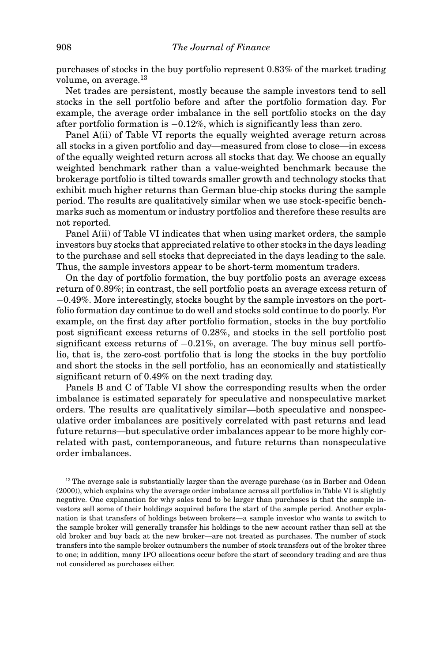purchases of stocks in the buy portfolio represent 0.83% of the market trading volume, on average.<sup>13</sup>

Net trades are persistent, mostly because the sample investors tend to sell stocks in the sell portfolio before and after the portfolio formation day. For example, the average order imbalance in the sell portfolio stocks on the day after portfolio formation is −0.12%, which is significantly less than zero.

Panel A(ii) of Table VI reports the equally weighted average return across all stocks in a given portfolio and day—measured from close to close—in excess of the equally weighted return across all stocks that day. We choose an equally weighted benchmark rather than a value-weighted benchmark because the brokerage portfolio is tilted towards smaller growth and technology stocks that exhibit much higher returns than German blue-chip stocks during the sample period. The results are qualitatively similar when we use stock-specific benchmarks such as momentum or industry portfolios and therefore these results are not reported.

Panel A(ii) of Table VI indicates that when using market orders, the sample investors buy stocks that appreciated relative to other stocks in the days leading to the purchase and sell stocks that depreciated in the days leading to the sale. Thus, the sample investors appear to be short-term momentum traders.

On the day of portfolio formation, the buy portfolio posts an average excess return of 0.89%; in contrast, the sell portfolio posts an average excess return of −0.49%. More interestingly, stocks bought by the sample investors on the portfolio formation day continue to do well and stocks sold continue to do poorly. For example, on the first day after portfolio formation, stocks in the buy portfolio post significant excess returns of 0.28%, and stocks in the sell portfolio post significant excess returns of  $-0.21%$ , on average. The buy minus sell portfolio, that is, the zero-cost portfolio that is long the stocks in the buy portfolio and short the stocks in the sell portfolio, has an economically and statistically significant return of 0.49% on the next trading day.

Panels B and C of Table VI show the corresponding results when the order imbalance is estimated separately for speculative and nonspeculative market orders. The results are qualitatively similar—both speculative and nonspeculative order imbalances are positively correlated with past returns and lead future returns—but speculative order imbalances appear to be more highly correlated with past, contemporaneous, and future returns than nonspeculative order imbalances.

 $13$  The average sale is substantially larger than the average purchase (as in Barber and Odean (2000)), which explains why the average order imbalance across all portfolios in Table VI is slightly negative. One explanation for why sales tend to be larger than purchases is that the sample investors sell some of their holdings acquired before the start of the sample period. Another explanation is that transfers of holdings between brokers—a sample investor who wants to switch to the sample broker will generally transfer his holdings to the new account rather than sell at the old broker and buy back at the new broker—are not treated as purchases. The number of stock transfers into the sample broker outnumbers the number of stock transfers out of the broker three to one; in addition, many IPO allocations occur before the start of secondary trading and are thus not considered as purchases either.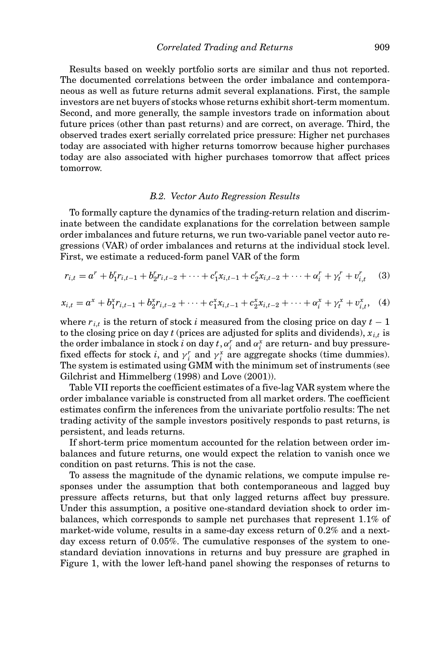Results based on weekly portfolio sorts are similar and thus not reported. The documented correlations between the order imbalance and contemporaneous as well as future returns admit several explanations. First, the sample investors are net buyers of stocks whose returns exhibit short-term momentum. Second, and more generally, the sample investors trade on information about future prices (other than past returns) and are correct, on average. Third, the observed trades exert serially correlated price pressure: Higher net purchases today are associated with higher returns tomorrow because higher purchases today are also associated with higher purchases tomorrow that affect prices tomorrow.

#### *B.2. Vector Auto Regression Results*

To formally capture the dynamics of the trading-return relation and discriminate between the candidate explanations for the correlation between sample order imbalances and future returns, we run two-variable panel vector auto regressions (VAR) of order imbalances and returns at the individual stock level. First, we estimate a reduced-form panel VAR of the form

$$
r_{i,t} = a^r + b_1^r r_{i,t-1} + b_2^r r_{i,t-2} + \dots + c_1^r x_{i,t-1} + c_2^r x_{i,t-2} + \dots + \alpha_i^r + \gamma_i^r + v_{i,t}^r \tag{3}
$$

$$
x_{i,t} = a^x + b_1^x r_{i,t-1} + b_2^x r_{i,t-2} + \dots + c_1^x x_{i,t-1} + c_2^x x_{i,t-2} + \dots + a_i^x + \gamma_t^x + v_{i,t}^x, \quad (4)
$$

where  $r_{i,t}$  is the return of stock *i* measured from the closing price on day  $t-1$ to the closing price on day  $t$  (prices are adjusted for splits and dividends),  $x_{i,t}$  is the order imbalance in stock *i* on day  $t$ ,  $\alpha_i^r$  and  $\alpha_i^x$  are return- and buy pressurefixed effects for stock *i*, and  $\gamma_i^r$  and  $\gamma_i^x$  are aggregate shocks (time dummies). The system is estimated using GMM with the minimum set of instruments (see Gilchrist and Himmelberg (1998) and Love (2001)).

Table VII reports the coefficient estimates of a five-lag VAR system where the order imbalance variable is constructed from all market orders. The coefficient estimates confirm the inferences from the univariate portfolio results: The net trading activity of the sample investors positively responds to past returns, is persistent, and leads returns.

If short-term price momentum accounted for the relation between order imbalances and future returns, one would expect the relation to vanish once we condition on past returns. This is not the case.

To assess the magnitude of the dynamic relations, we compute impulse responses under the assumption that both contemporaneous and lagged buy pressure affects returns, but that only lagged returns affect buy pressure. Under this assumption, a positive one-standard deviation shock to order imbalances, which corresponds to sample net purchases that represent 1.1% of market-wide volume, results in a same-day excess return of 0.2% and a nextday excess return of 0.05%. The cumulative responses of the system to onestandard deviation innovations in returns and buy pressure are graphed in Figure 1, with the lower left-hand panel showing the responses of returns to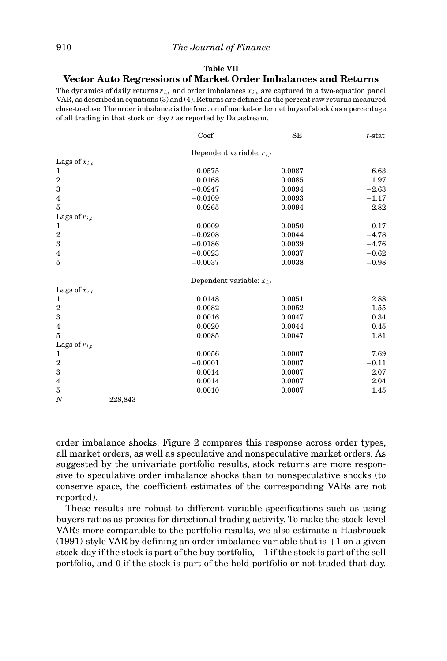### **Table VII Vector Auto Regressions of Market Order Imbalances and Returns**

The dynamics of daily returns  $r_{i,t}$  and order imbalances  $x_{i,t}$  are captured in a two-equation panel VAR, as described in equations (3) and (4). Returns are defined as the percent raw returns measured close-to-close. The order imbalance is the fraction of market-order net buys of stock *i* as a percentage of all trading in that stock on day *t* as reported by Datastream.

|                   | Coef                          | <b>SE</b> | $t$ -stat |
|-------------------|-------------------------------|-----------|-----------|
|                   | Dependent variable: $r_{i,t}$ |           |           |
| Lags of $x_{i,t}$ |                               |           |           |
| 1                 | 0.0575                        | 0.0087    | 6.63      |
| $\overline{2}$    | 0.0168                        | 0.0085    | 1.97      |
| 3                 | $-0.0247$                     | 0.0094    | $-2.63$   |
| 4                 | $-0.0109$                     | 0.0093    | $-1.17$   |
| $\overline{5}$    | 0.0265                        | 0.0094    | 2.82      |
| Lags of $r_{i,t}$ |                               |           |           |
| 1                 | 0.0009                        | 0.0050    | 0.17      |
| $\overline{2}$    | $-0.0208$                     | 0.0044    | $-4.78$   |
| 3                 | $-0.0186$                     | 0.0039    | $-4.76$   |
| 4                 | $-0.0023$                     | 0.0037    | $-0.62$   |
| 5                 | $-0.0037$                     | 0.0038    | $-0.98$   |
|                   | Dependent variable: $x_{i,t}$ |           |           |
| Lags of $x_{i,t}$ |                               |           |           |
| 1                 | 0.0148                        | 0.0051    | 2.88      |
| $\overline{2}$    | 0.0082                        | 0.0052    | 1.55      |
| 3                 | 0.0016                        | 0.0047    | 0.34      |
| 4                 | 0.0020                        | 0.0044    | 0.45      |
| $\overline{5}$    | 0.0085                        | 0.0047    | 1.81      |
| Lags of $r_{i,t}$ |                               |           |           |
| 1                 | 0.0056                        | 0.0007    | 7.69      |
| $\overline{2}$    | $-0.0001$                     | 0.0007    | $-0.11$   |
| 3                 | 0.0014                        | 0.0007    | 2.07      |
| 4                 | 0.0014                        | 0.0007    | $2.04\,$  |
| 5                 | 0.0010                        | 0.0007    | 1.45      |
| N<br>228,843      |                               |           |           |

order imbalance shocks. Figure 2 compares this response across order types, all market orders, as well as speculative and nonspeculative market orders. As suggested by the univariate portfolio results, stock returns are more responsive to speculative order imbalance shocks than to nonspeculative shocks (to conserve space, the coefficient estimates of the corresponding VARs are not reported).

These results are robust to different variable specifications such as using buyers ratios as proxies for directional trading activity. To make the stock-level VARs more comparable to the portfolio results, we also estimate a Hasbrouck  $(1991)$ -style VAR by defining an order imbalance variable that is  $+1$  on a given stock-day if the stock is part of the buy portfolio,  $-1$  if the stock is part of the sell portfolio, and 0 if the stock is part of the hold portfolio or not traded that day.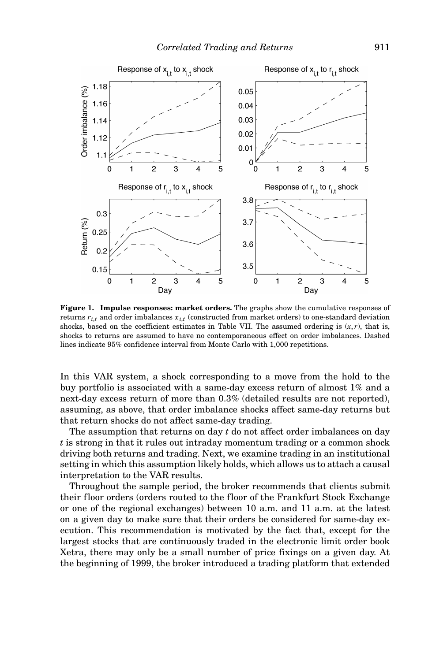

**Figure 1. Impulse responses: market orders.** The graphs show the cumulative responses of returns *ri*,*<sup>t</sup>* and order imbalances *xi*,*<sup>t</sup>* (constructed from market orders) to one-standard deviation shocks, based on the coefficient estimates in Table VII. The assumed ordering is  $(x, r)$ , that is, shocks to returns are assumed to have no contemporaneous effect on order imbalances. Dashed lines indicate 95% confidence interval from Monte Carlo with 1,000 repetitions.

In this VAR system, a shock corresponding to a move from the hold to the buy portfolio is associated with a same-day excess return of almost 1% and a next-day excess return of more than 0.3% (detailed results are not reported), assuming, as above, that order imbalance shocks affect same-day returns but that return shocks do not affect same-day trading.

The assumption that returns on day *t* do not affect order imbalances on day *t* is strong in that it rules out intraday momentum trading or a common shock driving both returns and trading. Next, we examine trading in an institutional setting in which this assumption likely holds, which allows us to attach a causal interpretation to the VAR results.

Throughout the sample period, the broker recommends that clients submit their floor orders (orders routed to the floor of the Frankfurt Stock Exchange or one of the regional exchanges) between 10 a.m. and 11 a.m. at the latest on a given day to make sure that their orders be considered for same-day execution. This recommendation is motivated by the fact that, except for the largest stocks that are continuously traded in the electronic limit order book Xetra, there may only be a small number of price fixings on a given day. At the beginning of 1999, the broker introduced a trading platform that extended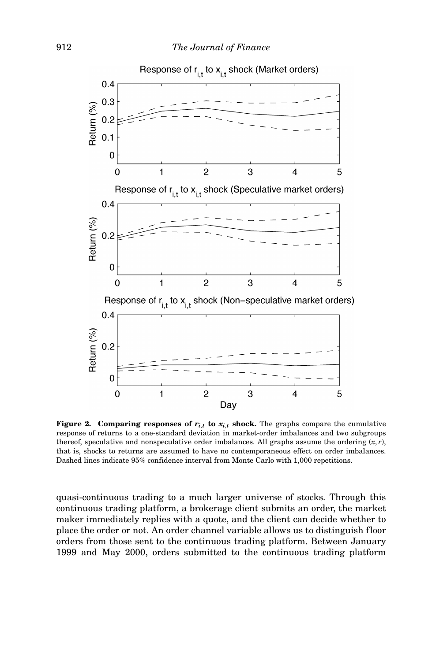

**Figure 2.** Comparing responses of  $r_{i,t}$  to  $x_{i,t}$  shock. The graphs compare the cumulative response of returns to a one-standard deviation in market-order imbalances and two subgroups thereof, speculative and nonspeculative order imbalances. All graphs assume the ordering  $(x, r)$ , that is, shocks to returns are assumed to have no contemporaneous effect on order imbalances. Dashed lines indicate 95% confidence interval from Monte Carlo with 1,000 repetitions.

quasi-continuous trading to a much larger universe of stocks. Through this continuous trading platform, a brokerage client submits an order, the market maker immediately replies with a quote, and the client can decide whether to place the order or not. An order channel variable allows us to distinguish floor orders from those sent to the continuous trading platform. Between January 1999 and May 2000, orders submitted to the continuous trading platform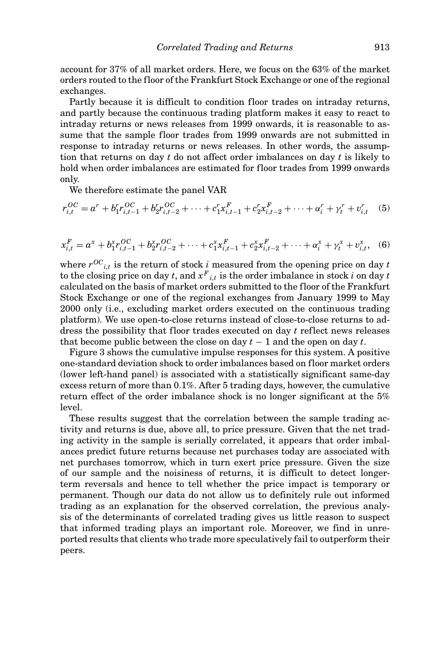account for 37% of all market orders. Here, we focus on the 63% of the market orders routed to the floor of the Frankfurt Stock Exchange or one of the regional exchanges.

Partly because it is difficult to condition floor trades on intraday returns, and partly because the continuous trading platform makes it easy to react to intraday returns or news releases from 1999 onwards, it is reasonable to assume that the sample floor trades from 1999 onwards are not submitted in response to intraday returns or news releases. In other words, the assumption that returns on day *t* do not affect order imbalances on day *t* is likely to hold when order imbalances are estimated for floor trades from 1999 onwards only.

We therefore estimate the panel VAR

$$
r_{i,t}^{OC} = a^r + b_1^r r_{i,t-1}^{OC} + b_2^r r_{i,t-2}^{OC} + \dots + c_1^r x_{i,t-1}^F + c_2^r x_{i,t-2}^F + \dots + a_i^r + \gamma_t^r + v_{i,t}^r \tag{5}
$$

$$
x_{i,t}^F = a^x + b_1^x r_{i,t-1}^{OC} + b_2^x r_{i,t-2}^{OC} + \dots + c_1^x x_{i,t-1}^F + c_2^x x_{i,t-2}^F + \dots + \alpha_i^x + \gamma_i^x + \upsilon_{i,t}^x, \quad (6)
$$

where  $r^{OC}_{i,t}$  is the return of stock  $i$  measured from the opening price on day  $t$ to the closing price on day  $t$ , and  $x^F{}_{i,t}$  is the order imbalance in stock  $i$  on day  $t$ calculated on the basis of market orders submitted to the floor of the Frankfurt Stock Exchange or one of the regional exchanges from January 1999 to May 2000 only (i.e., excluding market orders executed on the continuous trading platform). We use open-to-close returns instead of close-to-close returns to address the possibility that floor trades executed on day *t* reflect news releases that become public between the close on day *t* − 1 and the open on day *t*.

Figure 3 shows the cumulative impulse responses for this system. A positive one-standard deviation shock to order imbalances based on floor market orders (lower left-hand panel) is associated with a statistically significant same-day excess return of more than 0.1%. After 5 trading days, however, the cumulative return effect of the order imbalance shock is no longer significant at the 5% level.

These results suggest that the correlation between the sample trading activity and returns is due, above all, to price pressure. Given that the net trading activity in the sample is serially correlated, it appears that order imbalances predict future returns because net purchases today are associated with net purchases tomorrow, which in turn exert price pressure. Given the size of our sample and the noisiness of returns, it is difficult to detect longerterm reversals and hence to tell whether the price impact is temporary or permanent. Though our data do not allow us to definitely rule out informed trading as an explanation for the observed correlation, the previous analysis of the determinants of correlated trading gives us little reason to suspect that informed trading plays an important role. Moreover, we find in unreported results that clients who trade more speculatively fail to outperform their peers.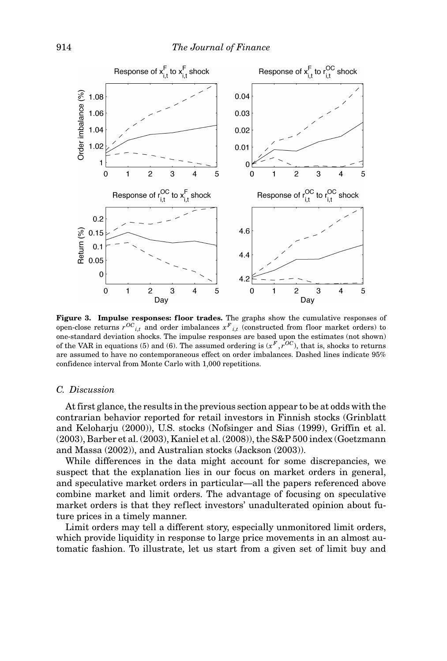

**Figure 3. Impulse responses: floor trades.** The graphs show the cumulative responses of open-close returns  $r^{OC}$ <sub>*i*,*t*</sub> and order imbalances  $x^F$ <sub>*i*,*t*</sub> (constructed from floor market orders) to one-standard deviation shocks. The impulse responses are based upon the estimates (not shown) of the VAR in equations (5) and (6). The assumed ordering is  $(x^F, r^{OC})$ , that is, shocks to returns are assumed to have no contemporaneous effect on order imbalances. Dashed lines indicate 95% confidence interval from Monte Carlo with 1,000 repetitions.

## *C. Discussion*

At first glance, the results in the previous section appear to be at odds with the contrarian behavior reported for retail investors in Finnish stocks (Grinblatt and Keloharju (2000)), U.S. stocks (Nofsinger and Sias (1999), Griffin et al. (2003), Barber et al. (2003), Kaniel et al. (2008)), the S&P 500 index (Goetzmann and Massa (2002)), and Australian stocks (Jackson (2003)).

While differences in the data might account for some discrepancies, we suspect that the explanation lies in our focus on market orders in general, and speculative market orders in particular—all the papers referenced above combine market and limit orders. The advantage of focusing on speculative market orders is that they reflect investors' unadulterated opinion about future prices in a timely manner.

Limit orders may tell a different story, especially unmonitored limit orders, which provide liquidity in response to large price movements in an almost automatic fashion. To illustrate, let us start from a given set of limit buy and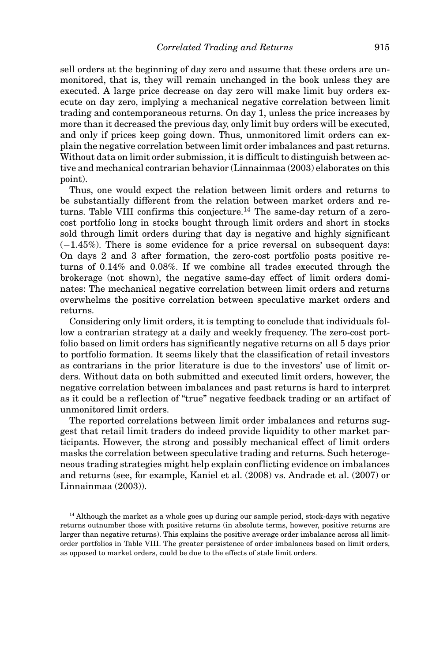sell orders at the beginning of day zero and assume that these orders are unmonitored, that is, they will remain unchanged in the book unless they are executed. A large price decrease on day zero will make limit buy orders execute on day zero, implying a mechanical negative correlation between limit trading and contemporaneous returns. On day 1, unless the price increases by more than it decreased the previous day, only limit buy orders will be executed, and only if prices keep going down. Thus, unmonitored limit orders can explain the negative correlation between limit order imbalances and past returns. Without data on limit order submission, it is difficult to distinguish between active and mechanical contrarian behavior (Linnainmaa (2003) elaborates on this point).

Thus, one would expect the relation between limit orders and returns to be substantially different from the relation between market orders and returns. Table VIII confirms this conjecture.<sup>14</sup> The same-day return of a zerocost portfolio long in stocks bought through limit orders and short in stocks sold through limit orders during that day is negative and highly significant (−1.45%). There is some evidence for a price reversal on subsequent days: On days 2 and 3 after formation, the zero-cost portfolio posts positive returns of 0.14% and 0.08%. If we combine all trades executed through the brokerage (not shown), the negative same-day effect of limit orders dominates: The mechanical negative correlation between limit orders and returns overwhelms the positive correlation between speculative market orders and returns.

Considering only limit orders, it is tempting to conclude that individuals follow a contrarian strategy at a daily and weekly frequency. The zero-cost portfolio based on limit orders has significantly negative returns on all 5 days prior to portfolio formation. It seems likely that the classification of retail investors as contrarians in the prior literature is due to the investors' use of limit orders. Without data on both submitted and executed limit orders, however, the negative correlation between imbalances and past returns is hard to interpret as it could be a reflection of "true" negative feedback trading or an artifact of unmonitored limit orders.

The reported correlations between limit order imbalances and returns suggest that retail limit traders do indeed provide liquidity to other market participants. However, the strong and possibly mechanical effect of limit orders masks the correlation between speculative trading and returns. Such heterogeneous trading strategies might help explain conflicting evidence on imbalances and returns (see, for example, Kaniel et al. (2008) vs. Andrade et al. (2007) or Linnainmaa (2003)).

 $14$  Although the market as a whole goes up during our sample period, stock-days with negative returns outnumber those with positive returns (in absolute terms, however, positive returns are larger than negative returns). This explains the positive average order imbalance across all limitorder portfolios in Table VIII. The greater persistence of order imbalances based on limit orders, as opposed to market orders, could be due to the effects of stale limit orders.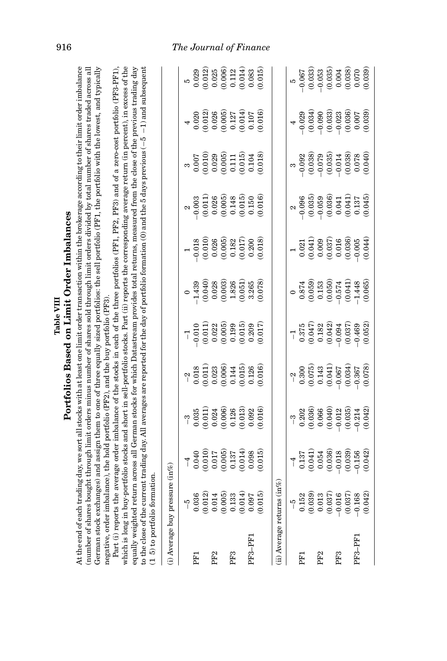| Table VIII | Portfolios Based on Limit Order Imbalances | ocks with at least one limit order transaction within the brokerage accordin |
|------------|--------------------------------------------|------------------------------------------------------------------------------|
|            |                                            |                                                                              |

|                 | Part (i) reports the aver<br>At the end of each trading o<br>negative, order imbalance<br>(number of shares bought<br>German stock exchanges) |                | which is long in buy-portfolio stocks and short in sell-portfolio stocks. Part (ii) reports the corresponding average return (in percent), in excess of the<br>day, we sort all stocks with at least one limit order transaction within the brokerage according to their limit order imbalance<br>and assign them to one of three equally sized portfolios: the sell portfolio (PF1, the portfolio with the lowest, and typically<br>equally weighted return across all German stocks for which Datastream provides total returns, measured from the close of the previous trading day<br>age order imbalance of the stocks in each of the three portfolios (PF1, PF2, PF3) and of a zero-cost portfolio (PF3-PF1),<br>through limit orders minus number of shares sold through limit orders divided by total number of shares traded across all<br>the hold portfolio (PF2), and the buy portfolio (PF3) |                                                 |          |                     |                                                         |          |                                                 |                         |                                                          |
|-----------------|-----------------------------------------------------------------------------------------------------------------------------------------------|----------------|-----------------------------------------------------------------------------------------------------------------------------------------------------------------------------------------------------------------------------------------------------------------------------------------------------------------------------------------------------------------------------------------------------------------------------------------------------------------------------------------------------------------------------------------------------------------------------------------------------------------------------------------------------------------------------------------------------------------------------------------------------------------------------------------------------------------------------------------------------------------------------------------------------------|-------------------------------------------------|----------|---------------------|---------------------------------------------------------|----------|-------------------------------------------------|-------------------------|----------------------------------------------------------|
|                 | 5) to portfolio formation                                                                                                                     |                | o the close of the current trading day. All averages are reported for the day of portfolio formation (0) and the 5 days previous ( $-5$ $-1$ ) and subsequent                                                                                                                                                                                                                                                                                                                                                                                                                                                                                                                                                                                                                                                                                                                                             |                                                 |          |                     |                                                         |          |                                                 |                         |                                                          |
|                 | (i) Average buy pressure $(\text{in}\%)$                                                                                                      |                |                                                                                                                                                                                                                                                                                                                                                                                                                                                                                                                                                                                                                                                                                                                                                                                                                                                                                                           |                                                 |          |                     |                                                         |          |                                                 |                         |                                                          |
|                 |                                                                                                                                               | $\overline{1}$ | က<br>                                                                                                                                                                                                                                                                                                                                                                                                                                                                                                                                                                                                                                                                                                                                                                                                                                                                                                     |                                                 |          |                     |                                                         |          |                                                 |                         |                                                          |
| EE              | 0.036                                                                                                                                         | 0.040          | 0.035                                                                                                                                                                                                                                                                                                                                                                                                                                                                                                                                                                                                                                                                                                                                                                                                                                                                                                     | $\frac{0.018}{(0.011)}$                         | 0.010    | $-1.439$            | $-0.018$                                                | $-0.003$ | 0.007                                           | $\frac{0.020}{(0.012)}$ | 0.029                                                    |
|                 | (0.012)                                                                                                                                       | (0.010)        | (0.011)                                                                                                                                                                                                                                                                                                                                                                                                                                                                                                                                                                                                                                                                                                                                                                                                                                                                                                   |                                                 | (0.011)  | (0.040)             | (0.010)                                                 | (0.011)  | (0.010)                                         |                         | (0.012)                                                  |
| PF <sub>2</sub> | $\begin{array}{c} 0.014 \\ (0.005) \\ 0.133 \end{array}$                                                                                      | 0.017          | 0.024                                                                                                                                                                                                                                                                                                                                                                                                                                                                                                                                                                                                                                                                                                                                                                                                                                                                                                     | 0.023                                           | 0.022    | 0.028               | 0.026                                                   | 0.026    | 0.029                                           | 0.026                   | $\begin{array}{c} 0.025 \\ (0.006) \\ 0.112 \end{array}$ |
|                 |                                                                                                                                               | (0.005)        | (0.006)                                                                                                                                                                                                                                                                                                                                                                                                                                                                                                                                                                                                                                                                                                                                                                                                                                                                                                   | $\begin{array}{c} (0.006) \\ 0.144 \end{array}$ | (0.005)  | (0.003)             | (0.005)                                                 | (0.005)  | $\begin{array}{c} (0.005) \\ 0.111 \end{array}$ | $\frac{(0.005)}{0.127}$ |                                                          |
| PF3             |                                                                                                                                               | 0.137          | 0.126                                                                                                                                                                                                                                                                                                                                                                                                                                                                                                                                                                                                                                                                                                                                                                                                                                                                                                     |                                                 | 0.199    | 1.826               | 0.182                                                   | 0.148    |                                                 |                         |                                                          |
|                 | (0.014)                                                                                                                                       | (0.014)        | (0.013)                                                                                                                                                                                                                                                                                                                                                                                                                                                                                                                                                                                                                                                                                                                                                                                                                                                                                                   | (0.015)                                         | (0.015)  | (0.051)             | $\frac{(0.017)}{0.200}$                                 | (0.015)  | (0.015)                                         | (0.014)                 | (0.014)                                                  |
| PF3-PF1         | 0.097                                                                                                                                         | 0.098          | 0.092                                                                                                                                                                                                                                                                                                                                                                                                                                                                                                                                                                                                                                                                                                                                                                                                                                                                                                     | 0.126                                           | 0.209    | 3.265               |                                                         | 0.150    | 0.104                                           | 0.107                   | 0.083                                                    |
|                 | (0.015)                                                                                                                                       | (0.015)        | (0.016)                                                                                                                                                                                                                                                                                                                                                                                                                                                                                                                                                                                                                                                                                                                                                                                                                                                                                                   | (0.016)                                         | (0.017)  | (0.078)             | (0.018)                                                 | (0.016)  | (0.018)                                         | (0.016)                 | (0.015)                                                  |
|                 | (ii) Average returns $\langle \text{in} \% \rangle$                                                                                           |                |                                                                                                                                                                                                                                                                                                                                                                                                                                                                                                                                                                                                                                                                                                                                                                                                                                                                                                           |                                                 |          |                     |                                                         |          |                                                 |                         |                                                          |
|                 |                                                                                                                                               |                |                                                                                                                                                                                                                                                                                                                                                                                                                                                                                                                                                                                                                                                                                                                                                                                                                                                                                                           |                                                 |          |                     |                                                         |          |                                                 |                         |                                                          |
| E               | 0.152                                                                                                                                         | 0.137          | 0.202                                                                                                                                                                                                                                                                                                                                                                                                                                                                                                                                                                                                                                                                                                                                                                                                                                                                                                     | 0.300                                           | 0.375    |                     | 0.021                                                   | $-0.096$ | $-0.092$                                        | $-0.029$                | $-0.067$                                                 |
|                 | (0.039)                                                                                                                                       | (0.041)        | (0.036)                                                                                                                                                                                                                                                                                                                                                                                                                                                                                                                                                                                                                                                                                                                                                                                                                                                                                                   | (0.075)                                         | (0.047)  | $(0.874$<br>(0.059) | (0.041)                                                 | (0.035)  | (0.038)                                         | (0.034)                 | (0.033)                                                  |
| PF <sub>2</sub> | 0.013                                                                                                                                         | 0.054          | 0.066                                                                                                                                                                                                                                                                                                                                                                                                                                                                                                                                                                                                                                                                                                                                                                                                                                                                                                     | 0.143                                           | 0.182    | 0.153               | $\begin{array}{c} 0.009 \\ 0.037) \\ 0.016 \end{array}$ | $-0.059$ | $-0.079$                                        | $-0.090$                | $-0.053$                                                 |
|                 | $(0.037)$<br>-0.016                                                                                                                           | (0.036)        | (0.040)                                                                                                                                                                                                                                                                                                                                                                                                                                                                                                                                                                                                                                                                                                                                                                                                                                                                                                   | (0.041)                                         | (0.042)  | (0.050)             |                                                         | (0.036)  | (0.035)                                         | (0.033)                 | $(0.035)$<br>0.004                                       |
| PF3             |                                                                                                                                               | $-0.018$       | $-0.012$                                                                                                                                                                                                                                                                                                                                                                                                                                                                                                                                                                                                                                                                                                                                                                                                                                                                                                  | $-0.067$                                        | $-0.094$ | $-0.574$            |                                                         | 0.041    | $-0.014$                                        | $-0.023$                |                                                          |
|                 | (0.037)                                                                                                                                       | (0.039)        | (0.035)                                                                                                                                                                                                                                                                                                                                                                                                                                                                                                                                                                                                                                                                                                                                                                                                                                                                                                   | (0.034)                                         | (0.037)  | (0.041)             | (0.036)                                                 | (0.041)  | (0.038)                                         | (0.036)                 | (0.038)                                                  |
| PF3-PF1         | $-0.168$<br>(0.042)                                                                                                                           | $-0.156$       | $-0.214$                                                                                                                                                                                                                                                                                                                                                                                                                                                                                                                                                                                                                                                                                                                                                                                                                                                                                                  | $-0.367$                                        | $-0.469$ | $-1.448$            | $-0.005$                                                | 0.137    | 0.078                                           | 0.007                   | $0.070\,$                                                |
|                 |                                                                                                                                               | (0.042)        | (0.042)                                                                                                                                                                                                                                                                                                                                                                                                                                                                                                                                                                                                                                                                                                                                                                                                                                                                                                   | (0.078)                                         | (0.052)  | (0.065)             | (0.044)                                                 | (0.045)  | (0.040)                                         | (0.039)                 | (0.039)                                                  |

# 916 *The Journal of Finance*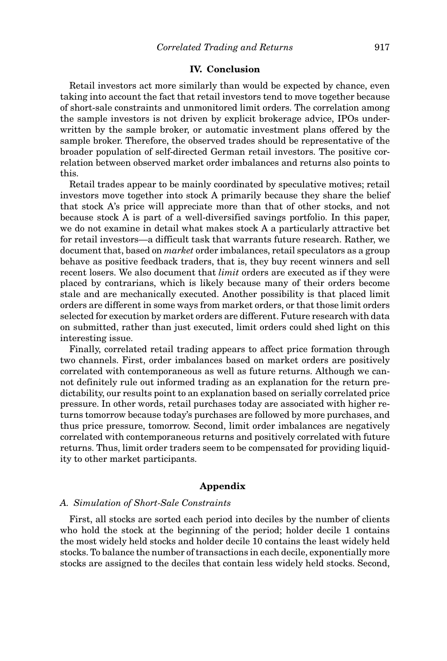#### **IV. Conclusion**

Retail investors act more similarly than would be expected by chance, even taking into account the fact that retail investors tend to move together because of short-sale constraints and unmonitored limit orders. The correlation among the sample investors is not driven by explicit brokerage advice, IPOs underwritten by the sample broker, or automatic investment plans offered by the sample broker. Therefore, the observed trades should be representative of the broader population of self-directed German retail investors. The positive correlation between observed market order imbalances and returns also points to this.

Retail trades appear to be mainly coordinated by speculative motives; retail investors move together into stock A primarily because they share the belief that stock A's price will appreciate more than that of other stocks, and not because stock A is part of a well-diversified savings portfolio. In this paper, we do not examine in detail what makes stock A a particularly attractive bet for retail investors—a difficult task that warrants future research. Rather, we document that, based on *market* order imbalances, retail speculators as a group behave as positive feedback traders, that is, they buy recent winners and sell recent losers. We also document that *limit* orders are executed as if they were placed by contrarians, which is likely because many of their orders become stale and are mechanically executed. Another possibility is that placed limit orders are different in some ways from market orders, or that those limit orders selected for execution by market orders are different. Future research with data on submitted, rather than just executed, limit orders could shed light on this interesting issue.

Finally, correlated retail trading appears to affect price formation through two channels. First, order imbalances based on market orders are positively correlated with contemporaneous as well as future returns. Although we cannot definitely rule out informed trading as an explanation for the return predictability, our results point to an explanation based on serially correlated price pressure. In other words, retail purchases today are associated with higher returns tomorrow because today's purchases are followed by more purchases, and thus price pressure, tomorrow. Second, limit order imbalances are negatively correlated with contemporaneous returns and positively correlated with future returns. Thus, limit order traders seem to be compensated for providing liquidity to other market participants.

# **Appendix**

#### *A. Simulation of Short-Sale Constraints*

First, all stocks are sorted each period into deciles by the number of clients who hold the stock at the beginning of the period; holder decile 1 contains the most widely held stocks and holder decile 10 contains the least widely held stocks. To balance the number of transactions in each decile, exponentially more stocks are assigned to the deciles that contain less widely held stocks. Second,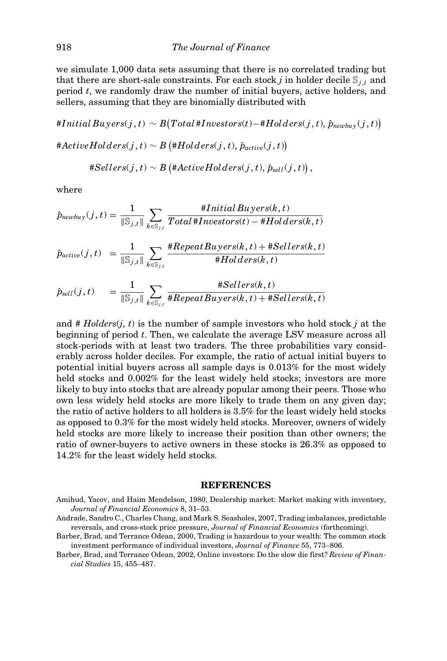we simulate 1,000 data sets assuming that there is no correlated trading but that there are short-sale constraints. For each stock *j* in holder decile  $\mathcal{S}_{i,t}$  and period *t*, we randomly draw the number of initial buyers, active holders, and sellers, assuming that they are binomially distributed with

#*Initial Buyers*( *j*, *t*) ∼ *B Total*#*Investors*(*t*)−#*Holders*( *j*, *t*), *p*ˆ *newbuy* ( *j*, *t*)

 $\#ActiveHolders(j, t) \sim B\left(\#Holders(j, t), \hat{p}_{active}(j, t)\right)$ 

$$
\#Sellers(j, t) \sim B \left( \#ActiveHolders(j, t), \hat{p}_{sell}(j, t) \right),
$$

where

$$
\hat{p}_{newbuy}(j,t) = \frac{1}{\|\mathbb{S}_{j,t}\|} \sum_{k \in \mathbb{S}_{j,t}} \frac{\#Initial\,Buyers(k,t)}{Total\#Investors(t) - \#Hol\,ers(k,t)}
$$

$$
\hat{p}_{active}(j, t) = \frac{1}{\|\mathbb{S}_{j, t}\|} \sum_{k \in \mathbb{S}_{j, t}} \frac{\#RepeatBuyers(k, t) + #Sellers(k, t)}{\# Holders(k, t)}
$$

$$
\hat{p}_{sell}(j,t) = \frac{1}{\|\mathbb{S}_{j,t}\|} \sum_{k \in \mathbb{S}_{j,t}} \frac{\#Sellers(k,t)}{\#RepeatBuyers(k,t) + \#Sellers(k,t)}
$$

and  $#$  *Holders* $(i, t)$  is the number of sample investors who hold stock *j* at the beginning of period *t*. Then, we calculate the average LSV measure across all stock-periods with at least two traders. The three probabilities vary considerably across holder deciles. For example, the ratio of actual initial buyers to potential initial buyers across all sample days is 0.013% for the most widely held stocks and 0.002% for the least widely held stocks; investors are more likely to buy into stocks that are already popular among their peers. Those who own less widely held stocks are more likely to trade them on any given day; the ratio of active holders to all holders is 3.5% for the least widely held stocks as opposed to 0.3% for the most widely held stocks. Moreover, owners of widely held stocks are more likely to increase their position than other owners; the ratio of owner-buyers to active owners in these stocks is 26.3% as opposed to 14.2% for the least widely held stocks.

#### **REFERENCES**

- Amihud, Yacov, and Haim Mendelson, 1980, Dealership market: Market making with inventory, *Journal of Financial Economics* 8, 31–53.
- Andrade, Sandro C., Charles Chang, and Mark S. Seasholes, 2007, Trading imbalances, predictable reversals, and cross-stock price pressure, *Journal of Financial Economics* (forthcoming).
- Barber, Brad, and Terrance Odean, 2000, Trading is hazardous to your wealth: The common stock investment performance of individual investors, *Journal of Finance* 55, 773–806.
- Barber, Brad, and Terrance Odean, 2002, Online investors: Do the slow die first? *Review of Financial Studies* 15, 455–487.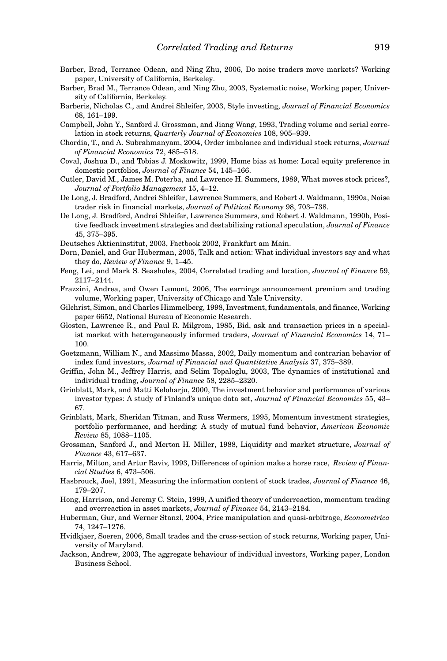- Barber, Brad, Terrance Odean, and Ning Zhu, 2006, Do noise traders move markets? Working paper, University of California, Berkeley.
- Barber, Brad M., Terrance Odean, and Ning Zhu, 2003, Systematic noise, Working paper, University of California, Berkeley.
- Barberis, Nicholas C., and Andrei Shleifer, 2003, Style investing, *Journal of Financial Economics* 68, 161–199.
- Campbell, John Y., Sanford J. Grossman, and Jiang Wang, 1993, Trading volume and serial correlation in stock returns, *Quarterly Journal of Economics* 108, 905–939.
- Chordia, T., and A. Subrahmanyam, 2004, Order imbalance and individual stock returns, *Journal of Financial Economics* 72, 485–518.
- Coval, Joshua D., and Tobias J. Moskowitz, 1999, Home bias at home: Local equity preference in domestic portfolios, *Journal of Finance* 54, 145–166.
- Cutler, David M., James M. Poterba, and Lawrence H. Summers, 1989, What moves stock prices?, *Journal of Portfolio Management* 15, 4–12.
- De Long, J. Bradford, Andrei Shleifer, Lawrence Summers, and Robert J. Waldmann, 1990a, Noise trader risk in financial markets, *Journal of Political Economy* 98, 703–738.
- De Long, J. Bradford, Andrei Shleifer, Lawrence Summers, and Robert J. Waldmann, 1990b, Positive feedback investment strategies and destabilizing rational speculation, *Journal of Finance* 45, 375–395.
- Deutsches Aktieninstitut, 2003, Factbook 2002, Frankfurt am Main.
- Dorn, Daniel, and Gur Huberman, 2005, Talk and action: What individual investors say and what they do, *Review of Finance* 9, 1–45.
- Feng, Lei, and Mark S. Seasholes, 2004, Correlated trading and location, *Journal of Finance* 59, 2117–2144.
- Frazzini, Andrea, and Owen Lamont, 2006, The earnings announcement premium and trading volume, Working paper, University of Chicago and Yale University.
- Gilchrist, Simon, and Charles Himmelberg, 1998, Investment, fundamentals, and finance, Working paper 6652, National Bureau of Economic Research.
- Glosten, Lawrence R., and Paul R. Milgrom, 1985, Bid, ask and transaction prices in a specialist market with heterogeneously informed traders, *Journal of Financial Economics* 14, 71– 100.
- Goetzmann, William N., and Massimo Massa, 2002, Daily momentum and contrarian behavior of index fund investors, *Journal of Financial and Quantitative Analysis* 37, 375–389.
- Griffin, John M., Jeffrey Harris, and Selim Topaloglu, 2003, The dynamics of institutional and individual trading, *Journal of Finance* 58, 2285–2320.
- Grinblatt, Mark, and Matti Keloharju, 2000, The investment behavior and performance of various investor types: A study of Finland's unique data set, *Journal of Financial Economics* 55, 43– 67.
- Grinblatt, Mark, Sheridan Titman, and Russ Wermers, 1995, Momentum investment strategies, portfolio performance, and herding: A study of mutual fund behavior, *American Economic Review* 85, 1088–1105.
- Grossman, Sanford J., and Merton H. Miller, 1988, Liquidity and market structure, *Journal of Finance* 43, 617–637.
- Harris, Milton, and Artur Raviv, 1993, Differences of opinion make a horse race, *Review of Financial Studies* 6, 473–506.
- Hasbrouck, Joel, 1991, Measuring the information content of stock trades, *Journal of Finance* 46, 179–207.
- Hong, Harrison, and Jeremy C. Stein, 1999, A unified theory of underreaction, momentum trading and overreaction in asset markets, *Journal of Finance* 54, 2143–2184.
- Huberman, Gur, and Werner Stanzl, 2004, Price manipulation and quasi-arbitrage, *Econometrica* 74, 1247–1276.
- Hvidkjaer, Soeren, 2006, Small trades and the cross-section of stock returns, Working paper, University of Maryland.
- Jackson, Andrew, 2003, The aggregate behaviour of individual investors, Working paper, London Business School.